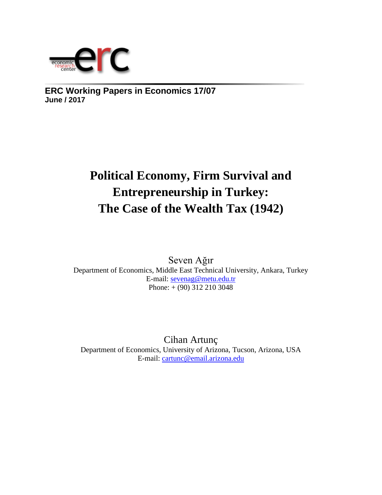

**ERC Working Papers in Economics 17/07 June / 2017**

# **Political Economy, Firm Survival and Entrepreneurship in Turkey: The Case of the Wealth Tax (1942)**

Seven Ağır Department of Economics, Middle East Technical University, Ankara, Turkey E-mail: [sevenag@metu.edu.tr](mailto:sevenag@metu.edu.tr)  Phone: + (90) 312 210 3048

Cihan Artunç Department of Economics, University of Arizona, Tucson, Arizona, USA E-mail: [cartunc@email.arizona.edu](mailto:cartunc@email.arizona.edu)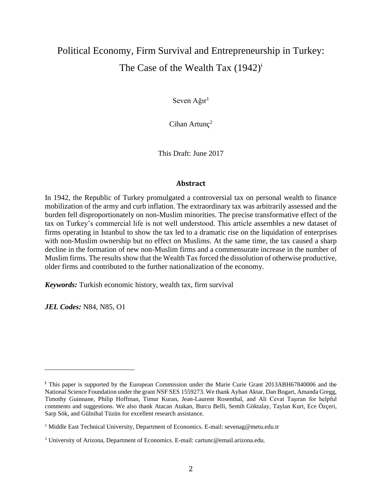## Political Economy, Firm Survival and Entrepreneurship in Turkey: The Case of the Wealth Tax  $(1942)^{\dagger}$

Seven  $A\check{g}$ ır<sup>1</sup>

Cihan Artunc<sup>2</sup>

This Draft: June 2017

#### **Abstract**

In 1942, the Republic of Turkey promulgated a controversial tax on personal wealth to finance mobilization of the army and curb inflation. The extraordinary tax was arbitrarily assessed and the burden fell disproportionately on non-Muslim minorities. The precise transformative effect of the tax on Turkey's commercial life is not well understood. This article assembles a new dataset of firms operating in Istanbul to show the tax led to a dramatic rise on the liquidation of enterprises with non-Muslim ownership but no effect on Muslims. At the same time, the tax caused a sharp decline in the formation of new non-Muslim firms and a commensurate increase in the number of Muslim firms. The results show that the Wealth Tax forced the dissolution of otherwise productive, older firms and contributed to the further nationalization of the economy.

*Keywords:* Turkish economic history, wealth tax, firm survival

*JEL Codes:* N84, N85, O1

l

ǂ This paper is supported by the European Commission under the Marie Curie Grant 2013ABH67840006 and the National Science Foundation under the grant NSF SES 1559273. We thank Ayhan Aktar, Dan Bogart, Amanda Gregg, Timothy Guinnane, Philip Hoffman, Timur Kuran, Jean-Laurent Rosenthal, and Ali Cevat Taşıran for helpful comments and suggestions. We also thank Atacan Atakan, Burcu Belli, Semih Göktalay, Taylan Kurt, Ece Özçeri, Sarp Sök, and Gülnihal Tüzün for excellent research assistance.

<sup>&</sup>lt;sup>1</sup> Middle East Technical University, Department of Economics. E-mail: sevenag@metu.edu.tr

<sup>2</sup> University of Arizona, Department of Economics. E-mail: cartunc@email.arizona.edu.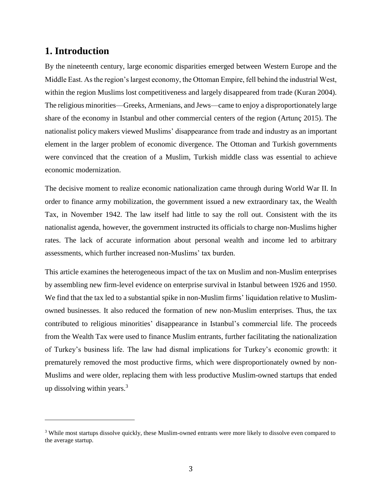### **1. Introduction**

 $\overline{a}$ 

By the nineteenth century, large economic disparities emerged between Western Europe and the Middle East. As the region's largest economy, the Ottoman Empire, fell behind the industrial West, within the region Muslims lost competitiveness and largely disappeared from trade (Kuran 2004). The religious minorities—Greeks, Armenians, and Jews—came to enjoy a disproportionately large share of the economy in Istanbul and other commercial centers of the region (Artunç 2015). The nationalist policy makers viewed Muslims' disappearance from trade and industry as an important element in the larger problem of economic divergence. The Ottoman and Turkish governments were convinced that the creation of a Muslim, Turkish middle class was essential to achieve economic modernization.

The decisive moment to realize economic nationalization came through during World War II. In order to finance army mobilization, the government issued a new extraordinary tax, the Wealth Tax, in November 1942. The law itself had little to say the roll out. Consistent with the its nationalist agenda, however, the government instructed its officials to charge non-Muslims higher rates. The lack of accurate information about personal wealth and income led to arbitrary assessments, which further increased non-Muslims' tax burden.

This article examines the heterogeneous impact of the tax on Muslim and non-Muslim enterprises by assembling new firm-level evidence on enterprise survival in Istanbul between 1926 and 1950. We find that the tax led to a substantial spike in non-Muslim firms' liquidation relative to Muslimowned businesses. It also reduced the formation of new non-Muslim enterprises. Thus, the tax contributed to religious minorities' disappearance in Istanbul's commercial life. The proceeds from the Wealth Tax were used to finance Muslim entrants, further facilitating the nationalization of Turkey's business life. The law had dismal implications for Turkey's economic growth: it prematurely removed the most productive firms, which were disproportionately owned by non-Muslims and were older, replacing them with less productive Muslim-owned startups that ended up dissolving within years.<sup>3</sup>

<sup>&</sup>lt;sup>3</sup> While most startups dissolve quickly, these Muslim-owned entrants were more likely to dissolve even compared to the average startup.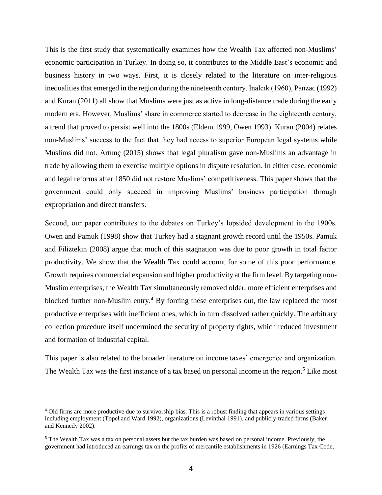This is the first study that systematically examines how the Wealth Tax affected non-Muslims' economic participation in Turkey. In doing so, it contributes to the Middle East's economic and business history in two ways. First, it is closely related to the literature on inter-religious inequalities that emerged in the region during the nineteenth century. Inalcık (1960), Panzac (1992) and Kuran (2011) all show that Muslims were just as active in long-distance trade during the early modern era. However, Muslims' share in commerce started to decrease in the eighteenth century, a trend that proved to persist well into the 1800s (Eldem 1999, Owen 1993). Kuran (2004) relates non-Muslims' success to the fact that they had access to superior European legal systems while Muslims did not. Artunç (2015) shows that legal pluralism gave non-Muslims an advantage in trade by allowing them to exercise multiple options in dispute resolution. In either case, economic and legal reforms after 1850 did not restore Muslims' competitiveness. This paper shows that the government could only succeed in improving Muslims' business participation through expropriation and direct transfers.

Second, our paper contributes to the debates on Turkey's lopsided development in the 1900s. Owen and Pamuk (1998) show that Turkey had a stagnant growth record until the 1950s. Pamuk and Filiztekin (2008) argue that much of this stagnation was due to poor growth in total factor productivity. We show that the Wealth Tax could account for some of this poor performance. Growth requires commercial expansion and higher productivity at the firm level. By targeting non-Muslim enterprises, the Wealth Tax simultaneously removed older, more efficient enterprises and blocked further non-Muslim entry. <sup>4</sup> By forcing these enterprises out, the law replaced the most productive enterprises with inefficient ones, which in turn dissolved rather quickly. The arbitrary collection procedure itself undermined the security of property rights, which reduced investment and formation of industrial capital.

This paper is also related to the broader literature on income taxes' emergence and organization. The Wealth Tax was the first instance of a tax based on personal income in the region.<sup>5</sup> Like most

<sup>4</sup> Old firms are more productive due to survivorship bias. This is a robust finding that appears in various settings including employment (Topel and Ward 1992), organizations (Levinthal 1991), and publicly-traded firms (Baker and Kennedy 2002).

<sup>5</sup> The Wealth Tax was a tax on personal assets but the tax burden was based on personal income. Previously, the government had introduced an earnings tax on the profits of mercantile establishments in 1926 (Earnings Tax Code,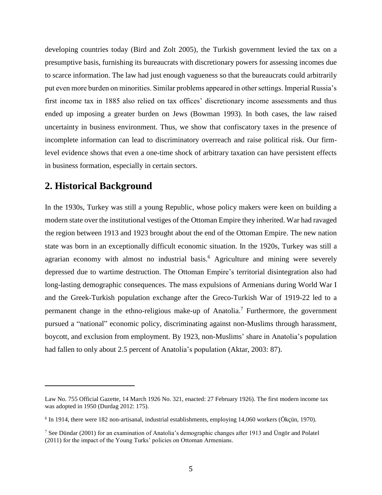developing countries today (Bird and Zolt 2005), the Turkish government levied the tax on a presumptive basis, furnishing its bureaucrats with discretionary powers for assessing incomes due to scarce information. The law had just enough vagueness so that the bureaucrats could arbitrarily put even more burden on minorities. Similar problems appeared in other settings. Imperial Russia's first income tax in 1885 also relied on tax offices' discretionary income assessments and thus ended up imposing a greater burden on Jews (Bowman 1993). In both cases, the law raised uncertainty in business environment. Thus, we show that confiscatory taxes in the presence of incomplete information can lead to discriminatory overreach and raise political risk. Our firmlevel evidence shows that even a one-time shock of arbitrary taxation can have persistent effects in business formation, especially in certain sectors.

## **2. Historical Background**

 $\overline{a}$ 

In the 1930s, Turkey was still a young Republic, whose policy makers were keen on building a modern state over the institutional vestiges of the Ottoman Empire they inherited. War had ravaged the region between 1913 and 1923 brought about the end of the Ottoman Empire. The new nation state was born in an exceptionally difficult economic situation. In the 1920s, Turkey was still a agrarian economy with almost no industrial basis.<sup>6</sup> Agriculture and mining were severely depressed due to wartime destruction. The Ottoman Empire's territorial disintegration also had long-lasting demographic consequences. The mass expulsions of Armenians during World War I and the Greek-Turkish population exchange after the Greco-Turkish War of 1919-22 led to a permanent change in the ethno-religious make-up of Anatolia.<sup>7</sup> Furthermore, the government pursued a "national" economic policy, discriminating against non-Muslims through harassment, boycott, and exclusion from employment. By 1923, non-Muslims' share in Anatolia's population had fallen to only about 2.5 percent of Anatolia's population (Aktar, 2003: 87).

Law No. 755 Official Gazette, 14 March 1926 No. 321, enacted: 27 February 1926). The first modern income tax was adopted in 1950 (Durdag 2012: 175).

<sup>6</sup> In 1914, there were 182 non-artisanal, industrial establishments, employing 14,060 workers (Ökçün, 1970).

<sup>7</sup> See Dündar (2001) for an examination of Anatolia's demographic changes after 1913 and Üngör and Polatel (2011) for the impact of the Young Turks' policies on Ottoman Armenians.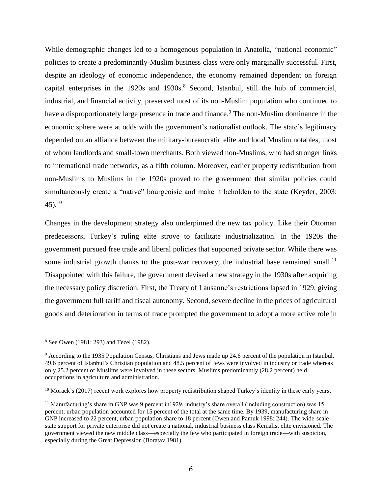While demographic changes led to a homogenous population in Anatolia, "national economic" policies to create a predominantly-Muslim business class were only marginally successful. First, despite an ideology of economic independence, the economy remained dependent on foreign capital enterprises in the 1920s and 1930s.<sup>8</sup> Second, Istanbul, still the hub of commercial, industrial, and financial activity, preserved most of its non-Muslim population who continued to have a disproportionately large presence in trade and finance.<sup>9</sup> The non-Muslim dominance in the economic sphere were at odds with the government's nationalist outlook. The state's legitimacy depended on an alliance between the military-bureaucratic elite and local Muslim notables, most of whom landlords and small-town merchants. Both viewed non-Muslims, who had stronger links to international trade networks, as a fifth column. Moreover, earlier property redistribution from non-Muslims to Muslims in the 1920s proved to the government that similar policies could simultaneously create a "native" bourgeoisie and make it beholden to the state (Keyder, 2003:  $45)$ <sup>10</sup>

Changes in the development strategy also underpinned the new tax policy. Like their Ottoman predecessors, Turkey's ruling elite strove to facilitate industrialization. In the 1920s the government pursued free trade and liberal policies that supported private sector. While there was some industrial growth thanks to the post-war recovery, the industrial base remained small.<sup>11</sup> Disappointed with this failure, the government devised a new strategy in the 1930s after acquiring the necessary policy discretion. First, the Treaty of Lausanne's restrictions lapsed in 1929, giving the government full tariff and fiscal autonomy. Second, severe decline in the prices of agricultural goods and deterioration in terms of trade prompted the government to adopt a more active role in

l

<sup>8</sup> See Owen (1981: 293) and Tezel (1982).

<sup>9</sup> According to the 1935 Population Census, Christians and Jews made up 24.6 percent of the population in Istanbul. 49.6 percent of Istanbul's Christian population and 48.5 percent of Jews were involved in industry or trade whereas only 25.2 percent of Muslims were involved in these sectors. Muslims predominantly (28.2 percent) held occupations in agriculture and administration.

 $10$  Morack's (2017) recent work explores how property redistribution shaped Turkey's identity in these early years.

<sup>&</sup>lt;sup>11</sup> Manufacturing's share in GNP was 9 percent in1929, industry's share overall (including construction) was 15 percent; urban population accounted for 15 percent of the total at the same time. By 1939, manufacturing share in GNP increased to 22 percent, urban population share to 18 percent (Owen and Pamuk 1998: 244). The wide-scale state support for private enterprise did not create a national, industrial business class Kemalist elite envisioned. The government viewed the new middle class—especially the few who participated in foreign trade—with suspicion, especially during the Great Depression (Boratav 1981).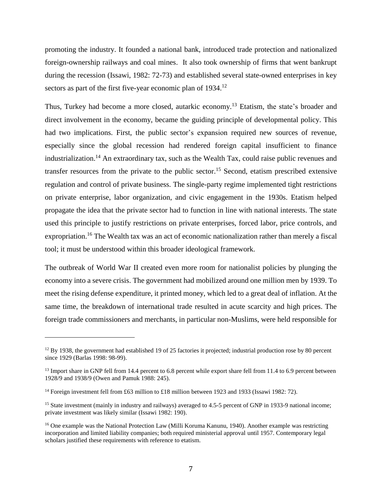promoting the industry. It founded a national bank, introduced trade protection and nationalized foreign-ownership railways and coal mines. It also took ownership of firms that went bankrupt during the recession (Issawi, 1982: 72-73) and established several state-owned enterprises in key sectors as part of the first five-year economic plan of 1934.<sup>12</sup>

Thus, Turkey had become a more closed, autarkic economy.<sup>13</sup> Etatism, the state's broader and direct involvement in the economy, became the guiding principle of developmental policy. This had two implications. First, the public sector's expansion required new sources of revenue, especially since the global recession had rendered foreign capital insufficient to finance industrialization. <sup>14</sup> An extraordinary tax, such as the Wealth Tax, could raise public revenues and transfer resources from the private to the public sector.<sup>15</sup> Second, etatism prescribed extensive regulation and control of private business. The single-party regime implemented tight restrictions on private enterprise, labor organization, and civic engagement in the 1930s. Etatism helped propagate the idea that the private sector had to function in line with national interests. The state used this principle to justify restrictions on private enterprises, forced labor, price controls, and expropriation.<sup>16</sup> The Wealth tax was an act of economic nationalization rather than merely a fiscal tool; it must be understood within this broader ideological framework.

The outbreak of World War II created even more room for nationalist policies by plunging the economy into a severe crisis. The government had mobilized around one million men by 1939. To meet the rising defense expenditure, it printed money, which led to a great deal of inflation. At the same time, the breakdown of international trade resulted in acute scarcity and high prices. The foreign trade commissioners and merchants, in particular non-Muslims, were held responsible for

 $12$  By 1938, the government had established 19 of 25 factories it projected; industrial production rose by 80 percent since 1929 (Barlas 1998: 98-99).

<sup>&</sup>lt;sup>13</sup> Import share in GNP fell from 14.4 percent to 6.8 percent while export share fell from 11.4 to 6.9 percent between 1928/9 and 1938/9 (Owen and Pamuk 1988: 245).

<sup>&</sup>lt;sup>14</sup> Foreign investment fell from £63 million to £18 million between 1923 and 1933 (Issawi 1982: 72).

<sup>&</sup>lt;sup>15</sup> State investment (mainly in industry and railways) averaged to 4.5-5 percent of GNP in 1933-9 national income; private investment was likely similar (Issawi 1982: 190).

<sup>&</sup>lt;sup>16</sup> One example was the National Protection Law (Milli Koruma Kanunu, 1940). Another example was restricting incorporation and limited liability companies; both required ministerial approval until 1957. Contemporary legal scholars justified these requirements with reference to etatism.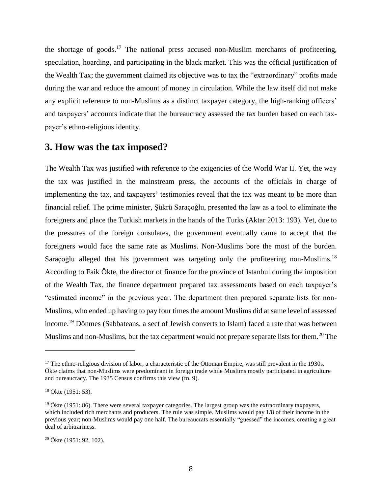the shortage of goods.<sup>17</sup> The national press accused non-Muslim merchants of profiteering, speculation, hoarding, and participating in the black market. This was the official justification of the Wealth Tax; the government claimed its objective was to tax the "extraordinary" profits made during the war and reduce the amount of money in circulation. While the law itself did not make any explicit reference to non-Muslims as a distinct taxpayer category, the high-ranking officers' and taxpayers' accounts indicate that the bureaucracy assessed the tax burden based on each taxpayer's ethno-religious identity.

#### **3. How was the tax imposed?**

The Wealth Tax was justified with reference to the exigencies of the World War II. Yet, the way the tax was justified in the mainstream press, the accounts of the officials in charge of implementing the tax, and taxpayers' testimonies reveal that the tax was meant to be more than financial relief. The prime minister, Şükrü Saraçoğlu, presented the law as a tool to eliminate the foreigners and place the Turkish markets in the hands of the Turks (Aktar 2013: 193). Yet, due to the pressures of the foreign consulates, the government eventually came to accept that the foreigners would face the same rate as Muslims. Non-Muslims bore the most of the burden. Saraçoğlu alleged that his government was targeting only the profiteering non-Muslims.<sup>18</sup> According to Faik Ökte, the director of finance for the province of Istanbul during the imposition of the Wealth Tax, the finance department prepared tax assessments based on each taxpayer's "estimated income" in the previous year. The department then prepared separate lists for non-Muslims, who ended up having to pay four times the amount Muslims did at same level of assessed income. <sup>19</sup> Dönmes (Sabbateans, a sect of Jewish converts to Islam) faced a rate that was between Muslims and non-Muslims, but the tax department would not prepare separate lists for them.<sup>20</sup> The

l

 $17$  The ethno-religious division of labor, a characteristic of the Ottoman Empire, was still prevalent in the 1930s. Ökte claims that non-Muslims were predominant in foreign trade while Muslims mostly participated in agriculture and bureaucracy. The 1935 Census confirms this view (fn. 9).

<sup>18</sup> Ökte (1951: 53).

 $19$  Ökte (1951: 86). There were several taxpayer categories. The largest group was the extraordinary taxpayers, which included rich merchants and producers. The rule was simple. Muslims would pay 1/8 of their income in the previous year; non-Muslims would pay one half. The bureaucrats essentially "guessed" the incomes, creating a great deal of arbitrariness.

 $20$  Ökte (1951: 92, 102).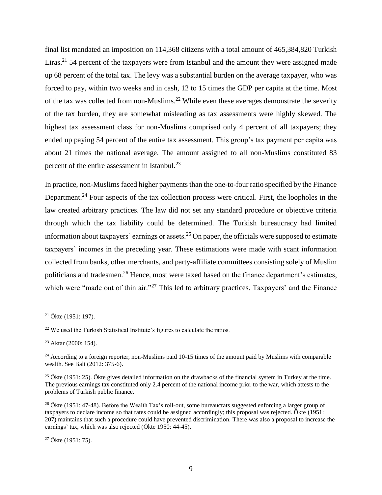final list mandated an imposition on 114,368 citizens with a total amount of 465,384,820 Turkish Liras.<sup>21</sup> 54 percent of the taxpayers were from Istanbul and the amount they were assigned made up 68 percent of the total tax. The levy was a substantial burden on the average taxpayer, who was forced to pay, within two weeks and in cash, 12 to 15 times the GDP per capita at the time. Most of the tax was collected from non-Muslims.<sup>22</sup> While even these averages demonstrate the severity of the tax burden, they are somewhat misleading as tax assessments were highly skewed. The highest tax assessment class for non-Muslims comprised only 4 percent of all taxpayers; they ended up paying 54 percent of the entire tax assessment. This group's tax payment per capita was about 21 times the national average. The amount assigned to all non-Muslims constituted 83 percent of the entire assessment in Istanbul.<sup>23</sup>

In practice, non-Muslims faced higher payments than the one-to-four ratio specified by the Finance Department.<sup>24</sup> Four aspects of the tax collection process were critical. First, the loopholes in the law created arbitrary practices. The law did not set any standard procedure or objective criteria through which the tax liability could be determined. The Turkish bureaucracy had limited information about taxpayers' earnings or assets. <sup>25</sup> On paper, the officials were supposed to estimate taxpayers' incomes in the preceding year. These estimations were made with scant information collected from banks, other merchants, and party-affiliate committees consisting solely of Muslim politicians and tradesmen.<sup>26</sup> Hence, most were taxed based on the finance department's estimates, which were "made out of thin air."<sup>27</sup> This led to arbitrary practices. Taxpayers' and the Finance

<sup>21</sup> Ökte (1951: 197).

<sup>22</sup> We used the Turkish Statistical Institute's figures to calculate the ratios.

<sup>23</sup> Aktar (2000: 154).

<sup>&</sup>lt;sup>24</sup> According to a foreign reporter, non-Muslims paid  $10-15$  times of the amount paid by Muslims with comparable wealth. See Bali (2012: 375-6).

<sup>&</sup>lt;sup>25</sup> Ökte (1951: 25). Ökte gives detailed information on the drawbacks of the financial system in Turkey at the time. The previous earnings tax constituted only 2.4 percent of the national income prior to the war, which attests to the problems of Turkish public finance.

<sup>&</sup>lt;sup>26</sup> Ökte (1951: 47-48). Before the Wealth Tax's roll-out, some bureaucrats suggested enforcing a larger group of taxpayers to declare income so that rates could be assigned accordingly; this proposal was rejected. Ökte (1951: 207) maintains that such a procedure could have prevented discrimination. There was also a proposal to increase the earnings' tax, which was also rejected (Ökte 1950: 44-45).

 $27$  Ökte (1951: 75).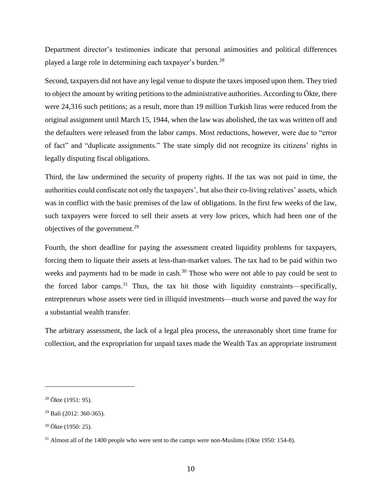Department director's testimonies indicate that personal animosities and political differences played a large role in determining each taxpayer's burden.<sup>28</sup>

Second, taxpayers did not have any legal venue to dispute the taxes imposed upon them. They tried to object the amount by writing petitions to the administrative authorities. According to Ökte, there were 24,316 such petitions; as a result, more than 19 million Turkish liras were reduced from the original assignment until March 15, 1944, when the law was abolished, the tax was written off and the defaulters were released from the labor camps. Most reductions, however, were due to "error of fact" and "duplicate assignments." The state simply did not recognize its citizens' rights in legally disputing fiscal obligations.

Third, the law undermined the security of property rights. If the tax was not paid in time, the authorities could confiscate not only the taxpayers', but also their co-living relatives' assets, which was in conflict with the basic premises of the law of obligations. In the first few weeks of the law, such taxpayers were forced to sell their assets at very low prices, which had been one of the objectives of the government.<sup>29</sup>

Fourth, the short deadline for paying the assessment created liquidity problems for taxpayers, forcing them to liquate their assets at less-than-market values. The tax had to be paid within two weeks and payments had to be made in cash.<sup>30</sup> Those who were not able to pay could be sent to the forced labor camps.<sup>31</sup> Thus, the tax hit those with liquidity constraints—specifically, entrepreneurs whose assets were tied in illiquid investments—much worse and paved the way for a substantial wealth transfer.

The arbitrary assessment, the lack of a legal plea process, the unreasonably short time frame for collection, and the expropriation for unpaid taxes made the Wealth Tax an appropriate instrument

<sup>28</sup> Ökte (1951: 95).

<sup>29</sup> Bali (2012: 360-365).

<sup>30</sup> Ökte (1950: 25).

<sup>&</sup>lt;sup>31</sup> Almost all of the 1400 people who were sent to the camps were non-Muslims (Okte 1950: 154-8).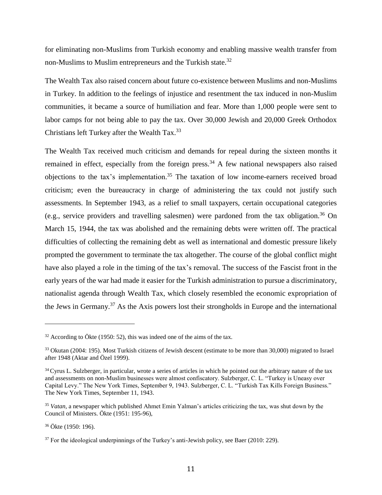for eliminating non-Muslims from Turkish economy and enabling massive wealth transfer from non-Muslims to Muslim entrepreneurs and the Turkish state.<sup>32</sup>

The Wealth Tax also raised concern about future co-existence between Muslims and non-Muslims in Turkey. In addition to the feelings of injustice and resentment the tax induced in non-Muslim communities, it became a source of humiliation and fear. More than 1,000 people were sent to labor camps for not being able to pay the tax. Over 30,000 Jewish and 20,000 Greek Orthodox Christians left Turkey after the Wealth Tax.<sup>33</sup>

The Wealth Tax received much criticism and demands for repeal during the sixteen months it remained in effect, especially from the foreign press.<sup>34</sup> A few national newspapers also raised objections to the tax's implementation. <sup>35</sup> The taxation of low income-earners received broad criticism; even the bureaucracy in charge of administering the tax could not justify such assessments. In September 1943, as a relief to small taxpayers, certain occupational categories (e.g., service providers and travelling salesmen) were pardoned from the tax obligation.<sup>36</sup> On March 15, 1944, the tax was abolished and the remaining debts were written off. The practical difficulties of collecting the remaining debt as well as international and domestic pressure likely prompted the government to terminate the tax altogether. The course of the global conflict might have also played a role in the timing of the tax's removal. The success of the Fascist front in the early years of the war had made it easier for the Turkish administration to pursue a discriminatory, nationalist agenda through Wealth Tax, which closely resembled the economic expropriation of the Jews in Germany.<sup>37</sup> As the Axis powers lost their strongholds in Europe and the international

 $32$  According to Ökte (1950: 52), this was indeed one of the aims of the tax.

<sup>&</sup>lt;sup>33</sup> Okutan (2004: 195). Most Turkish citizens of Jewish descent (estimate to be more than 30,000) migrated to Israel after 1948 (Aktar and Özel 1999).

<sup>&</sup>lt;sup>34</sup> Cyrus L. Sulzberger, in particular, wrote a series of articles in which he pointed out the arbitrary nature of the tax and assessments on non-Muslim businesses were almost confiscatory. Sulzberger, C. L. "Turkey is Uneasy over Capital Levy." The New York Times, September 9, 1943. Sulzberger, C. L. "Turkish Tax Kills Foreign Business." The New York Times, September 11, 1943.

<sup>35</sup> *Vatan*, a newspaper which published Ahmet Emin Yalman's articles criticizing the tax, was shut down by the Council of Ministers. Ökte (1951: 195-96),

<sup>36</sup> Ökte (1950: 196).

<sup>&</sup>lt;sup>37</sup> For the ideological underpinnings of the Turkey's anti-Jewish policy, see Baer (2010: 229).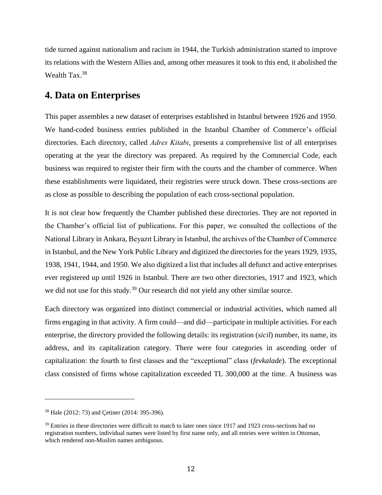tide turned against nationalism and racism in 1944, the Turkish administration started to improve its relations with the Western Allies and, among other measures it took to this end, it abolished the Wealth Tax.<sup>38</sup>

### **4. Data on Enterprises**

This paper assembles a new dataset of enterprises established in Istanbul between 1926 and 1950. We hand-coded business entries published in the Istanbul Chamber of Commerce's official directories. Each directory, called *Adres Kitabı*, presents a comprehensive list of all enterprises operating at the year the directory was prepared. As required by the Commercial Code, each business was required to register their firm with the courts and the chamber of commerce. When these establishments were liquidated, their registries were struck down. These cross-sections are as close as possible to describing the population of each cross-sectional population.

It is not clear how frequently the Chamber published these directories. They are not reported in the Chamber's official list of publications. For this paper, we consulted the collections of the National Library in Ankara, Beyazıt Library in Istanbul, the archives of the Chamber of Commerce in Istanbul, and the New York Public Library and digitized the directories for the years 1929, 1935, 1938, 1941, 1944, and 1950. We also digitized a list that includes all defunct and active enterprises ever registered up until 1926 in Istanbul. There are two other directories, 1917 and 1923, which we did not use for this study.<sup>39</sup> Our research did not yield any other similar source.

Each directory was organized into distinct commercial or industrial activities, which named all firms engaging in that activity. A firm could—and did—participate in multiple activities. For each enterprise, the directory provided the following details: its registration (*sicil*) number, its name, its address, and its capitalization category. There were four categories in ascending order of capitalization: the fourth to first classes and the "exceptional" class (*fevkalade*). The exceptional class consisted of firms whose capitalization exceeded TL 300,000 at the time. A business was

<sup>38</sup> Hale (2012: 73) and Çetiner (2014: 395-396).

 $39$  Entries in these directories were difficult to match to later ones since 1917 and 1923 cross-sections had no registration numbers, individual names were listed by first name only, and all entries were written in Ottoman, which rendered non-Muslim names ambiguous.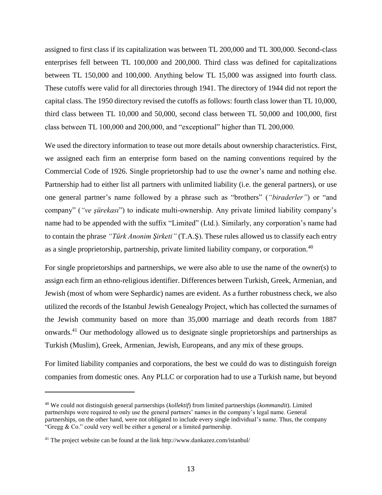assigned to first class if its capitalization was between TL 200,000 and TL 300,000. Second-class enterprises fell between TL 100,000 and 200,000. Third class was defined for capitalizations between TL 150,000 and 100,000. Anything below TL 15,000 was assigned into fourth class. These cutoffs were valid for all directories through 1941. The directory of 1944 did not report the capital class. The 1950 directory revised the cutoffs as follows: fourth class lower than TL 10,000, third class between TL 10,000 and 50,000, second class between TL 50,000 and 100,000, first class between TL 100,000 and 200,000, and "exceptional" higher than TL 200,000.

We used the directory information to tease out more details about ownership characteristics. First, we assigned each firm an enterprise form based on the naming conventions required by the Commercial Code of 1926. Single proprietorship had to use the owner's name and nothing else. Partnership had to either list all partners with unlimited liability (i.e. the general partners), or use one general partner's name followed by a phrase such as "brothers" (*"biraderler"*) or "and company" (*"ve şürekası*") to indicate multi-ownership. Any private limited liability company's name had to be appended with the suffix "Limited" (Ltd.). Similarly, any corporation's name had to contain the phrase *"Türk Anonim Şirketi"* (T.A.Ş). These rules allowed us to classify each entry as a single proprietorship, partnership, private limited liability company, or corporation.<sup>40</sup>

For single proprietorships and partnerships, we were also able to use the name of the owner(s) to assign each firm an ethno-religious identifier. Differences between Turkish, Greek, Armenian, and Jewish (most of whom were Sephardic) names are evident. As a further robustness check, we also utilized the records of the Istanbul Jewish Genealogy Project, which has collected the surnames of the Jewish community based on more than 35,000 marriage and death records from 1887 onwards. <sup>41</sup> Our methodology allowed us to designate single proprietorships and partnerships as Turkish (Muslim), Greek, Armenian, Jewish, Europeans, and any mix of these groups.

For limited liability companies and corporations, the best we could do was to distinguish foreign companies from domestic ones. Any PLLC or corporation had to use a Turkish name, but beyond

<sup>40</sup> We could not distinguish general partnerships (*kollektif*) from limited partnerships (*kommandit*). Limited partnerships were required to only use the general partners' names in the company's legal name. General partnerships, on the other hand, were not obligated to include every single individual's name. Thus, the company "Gregg  $& Co.$ " could very well be either a general or a limited partnership.

<sup>41</sup> The project website can be found at the link<http://www.dankazez.com/istanbul/>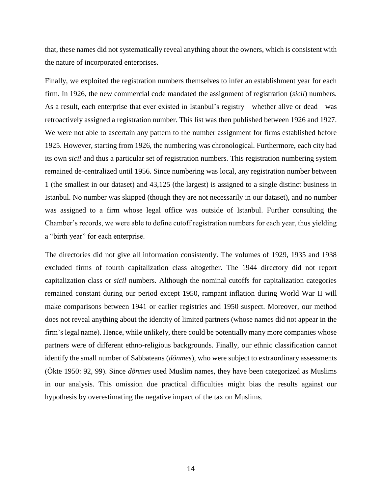that, these names did not systematically reveal anything about the owners, which is consistent with the nature of incorporated enterprises.

Finally, we exploited the registration numbers themselves to infer an establishment year for each firm. In 1926, the new commercial code mandated the assignment of registration (*sicil*) numbers. As a result, each enterprise that ever existed in Istanbul's registry—whether alive or dead—was retroactively assigned a registration number. This list was then published between 1926 and 1927. We were not able to ascertain any pattern to the number assignment for firms established before 1925. However, starting from 1926, the numbering was chronological. Furthermore, each city had its own *sicil* and thus a particular set of registration numbers. This registration numbering system remained de-centralized until 1956. Since numbering was local, any registration number between 1 (the smallest in our dataset) and 43,125 (the largest) is assigned to a single distinct business in Istanbul. No number was skipped (though they are not necessarily in our dataset), and no number was assigned to a firm whose legal office was outside of Istanbul. Further consulting the Chamber's records, we were able to define cutoff registration numbers for each year, thus yielding a "birth year" for each enterprise.

The directories did not give all information consistently. The volumes of 1929, 1935 and 1938 excluded firms of fourth capitalization class altogether. The 1944 directory did not report capitalization class or *sicil* numbers. Although the nominal cutoffs for capitalization categories remained constant during our period except 1950, rampant inflation during World War II will make comparisons between 1941 or earlier registries and 1950 suspect. Moreover, our method does not reveal anything about the identity of limited partners (whose names did not appear in the firm's legal name). Hence, while unlikely, there could be potentially many more companies whose partners were of different ethno-religious backgrounds. Finally, our ethnic classification cannot identify the small number of Sabbateans (*dönmes*), who were subject to extraordinary assessments (Ökte 1950: 92, 99). Since *dönmes* used Muslim names, they have been categorized as Muslims in our analysis. This omission due practical difficulties might bias the results against our hypothesis by overestimating the negative impact of the tax on Muslims.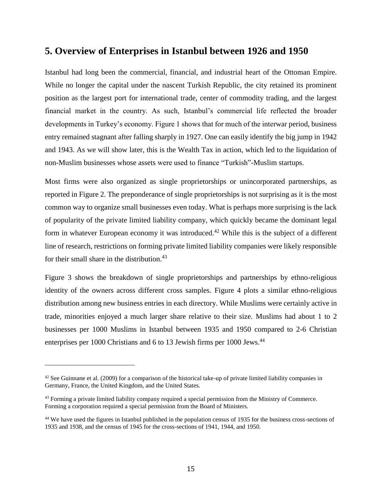#### **5. Overview of Enterprises in Istanbul between 1926 and 1950**

Istanbul had long been the commercial, financial, and industrial heart of the Ottoman Empire. While no longer the capital under the nascent Turkish Republic, the city retained its prominent position as the largest port for international trade, center of commodity trading, and the largest financial market in the country. As such, Istanbul's commercial life reflected the broader developments in Turkey's economy. Figure 1 shows that for much of the interwar period, business entry remained stagnant after falling sharply in 1927. One can easily identify the big jump in 1942 and 1943. As we will show later, this is the Wealth Tax in action, which led to the liquidation of non-Muslim businesses whose assets were used to finance "Turkish"-Muslim startups.

Most firms were also organized as single proprietorships or unincorporated partnerships, as reported in Figure 2. The preponderance of single proprietorships is not surprising as it is the most common way to organize small businesses even today. What is perhaps more surprising is the lack of popularity of the private limited liability company, which quickly became the dominant legal form in whatever European economy it was introduced.<sup>42</sup> While this is the subject of a different line of research, restrictions on forming private limited liability companies were likely responsible for their small share in the distribution.<sup>43</sup>

Figure 3 shows the breakdown of single proprietorships and partnerships by ethno-religious identity of the owners across different cross samples. Figure 4 plots a similar ethno-religious distribution among new business entries in each directory. While Muslims were certainly active in trade, minorities enjoyed a much larger share relative to their size. Muslims had about 1 to 2 businesses per 1000 Muslims in Istanbul between 1935 and 1950 compared to 2-6 Christian enterprises per 1000 Christians and 6 to 13 Jewish firms per 1000 Jews.<sup>44</sup>

 $42$  See Guinnane et al. (2009) for a comparison of the historical take-up of private limited liability companies in Germany, France, the United Kingdom, and the United States.

<sup>&</sup>lt;sup>43</sup> Forming a private limited liability company required a special permission from the Ministry of Commerce. Forming a corporation required a special permission from the Board of Ministers.

<sup>&</sup>lt;sup>44</sup> We have used the figures in Istanbul published in the population census of 1935 for the business cross-sections of 1935 and 1938, and the census of 1945 for the cross-sections of 1941, 1944, and 1950.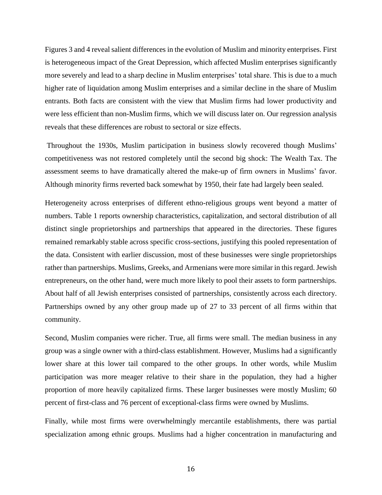Figures 3 and 4 reveal salient differences in the evolution of Muslim and minority enterprises. First is heterogeneous impact of the Great Depression, which affected Muslim enterprises significantly more severely and lead to a sharp decline in Muslim enterprises' total share. This is due to a much higher rate of liquidation among Muslim enterprises and a similar decline in the share of Muslim entrants. Both facts are consistent with the view that Muslim firms had lower productivity and were less efficient than non-Muslim firms, which we will discuss later on. Our regression analysis reveals that these differences are robust to sectoral or size effects.

Throughout the 1930s, Muslim participation in business slowly recovered though Muslims' competitiveness was not restored completely until the second big shock: The Wealth Tax. The assessment seems to have dramatically altered the make-up of firm owners in Muslims' favor. Although minority firms reverted back somewhat by 1950, their fate had largely been sealed.

Heterogeneity across enterprises of different ethno-religious groups went beyond a matter of numbers. Table 1 reports ownership characteristics, capitalization, and sectoral distribution of all distinct single proprietorships and partnerships that appeared in the directories. These figures remained remarkably stable across specific cross-sections, justifying this pooled representation of the data. Consistent with earlier discussion, most of these businesses were single proprietorships rather than partnerships. Muslims, Greeks, and Armenians were more similar in this regard. Jewish entrepreneurs, on the other hand, were much more likely to pool their assets to form partnerships. About half of all Jewish enterprises consisted of partnerships, consistently across each directory. Partnerships owned by any other group made up of 27 to 33 percent of all firms within that community.

Second, Muslim companies were richer. True, all firms were small. The median business in any group was a single owner with a third-class establishment. However, Muslims had a significantly lower share at this lower tail compared to the other groups. In other words, while Muslim participation was more meager relative to their share in the population, they had a higher proportion of more heavily capitalized firms. These larger businesses were mostly Muslim; 60 percent of first-class and 76 percent of exceptional-class firms were owned by Muslims.

Finally, while most firms were overwhelmingly mercantile establishments, there was partial specialization among ethnic groups. Muslims had a higher concentration in manufacturing and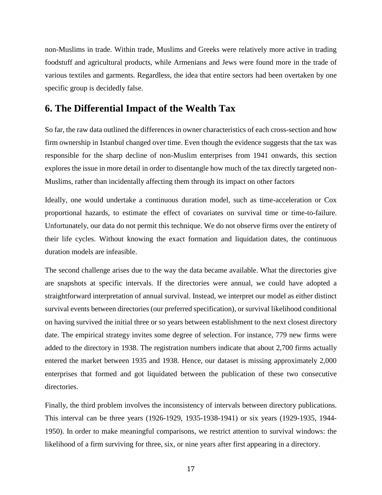non-Muslims in trade. Within trade, Muslims and Greeks were relatively more active in trading foodstuff and agricultural products, while Armenians and Jews were found more in the trade of various textiles and garments. Regardless, the idea that entire sectors had been overtaken by one specific group is decidedly false.

#### **6. The Differential Impact of the Wealth Tax**

So far, the raw data outlined the differences in owner characteristics of each cross-section and how firm ownership in Istanbul changed over time. Even though the evidence suggests that the tax was responsible for the sharp decline of non-Muslim enterprises from 1941 onwards, this section explores the issue in more detail in order to disentangle how much of the tax directly targeted non-Muslims, rather than incidentally affecting them through its impact on other factors

Ideally, one would undertake a continuous duration model, such as time-acceleration or Cox proportional hazards, to estimate the effect of covariates on survival time or time-to-failure. Unfortunately, our data do not permit this technique. We do not observe firms over the entirety of their life cycles. Without knowing the exact formation and liquidation dates, the continuous duration models are infeasible.

The second challenge arises due to the way the data became available. What the directories give are snapshots at specific intervals. If the directories were annual, we could have adopted a straightforward interpretation of annual survival. Instead, we interpret our model as either distinct survival events between directories (our preferred specification), or survival likelihood conditional on having survived the initial three or so years between establishment to the next closest directory date. The empirical strategy invites some degree of selection. For instance, 779 new firms were added to the directory in 1938. The registration numbers indicate that about 2,700 firms actually entered the market between 1935 and 1938. Hence, our dataset is missing approximately 2,000 enterprises that formed and got liquidated between the publication of these two consecutive directories.

Finally, the third problem involves the inconsistency of intervals between directory publications. This interval can be three years (1926-1929, 1935-1938-1941) or six years (1929-1935, 1944- 1950). In order to make meaningful comparisons, we restrict attention to survival windows: the likelihood of a firm surviving for three, six, or nine years after first appearing in a directory.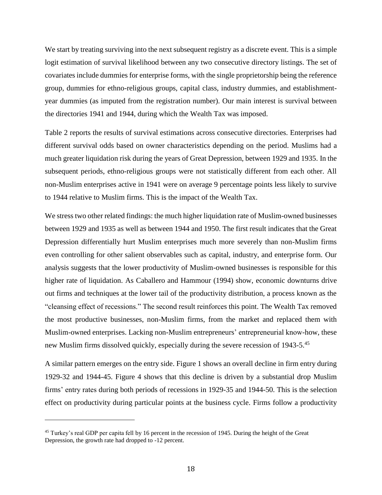We start by treating surviving into the next subsequent registry as a discrete event. This is a simple logit estimation of survival likelihood between any two consecutive directory listings. The set of covariates include dummies for enterprise forms, with the single proprietorship being the reference group, dummies for ethno-religious groups, capital class, industry dummies, and establishmentyear dummies (as imputed from the registration number). Our main interest is survival between the directories 1941 and 1944, during which the Wealth Tax was imposed.

Table 2 reports the results of survival estimations across consecutive directories. Enterprises had different survival odds based on owner characteristics depending on the period. Muslims had a much greater liquidation risk during the years of Great Depression, between 1929 and 1935. In the subsequent periods, ethno-religious groups were not statistically different from each other. All non-Muslim enterprises active in 1941 were on average 9 percentage points less likely to survive to 1944 relative to Muslim firms. This is the impact of the Wealth Tax.

We stress two other related findings: the much higher liquidation rate of Muslim-owned businesses between 1929 and 1935 as well as between 1944 and 1950. The first result indicates that the Great Depression differentially hurt Muslim enterprises much more severely than non-Muslim firms even controlling for other salient observables such as capital, industry, and enterprise form. Our analysis suggests that the lower productivity of Muslim-owned businesses is responsible for this higher rate of liquidation. As Caballero and Hammour (1994) show, economic downturns drive out firms and techniques at the lower tail of the productivity distribution, a process known as the "cleansing effect of recessions." The second result reinforces this point. The Wealth Tax removed the most productive businesses, non-Muslim firms, from the market and replaced them with Muslim-owned enterprises. Lacking non-Muslim entrepreneurs' entrepreneurial know-how, these new Muslim firms dissolved quickly, especially during the severe recession of 1943-5.<sup>45</sup>

A similar pattern emerges on the entry side. Figure 1 shows an overall decline in firm entry during 1929-32 and 1944-45. Figure 4 shows that this decline is driven by a substantial drop Muslim firms' entry rates during both periods of recessions in 1929-35 and 1944-50. This is the selection effect on productivity during particular points at the business cycle. Firms follow a productivity

<sup>&</sup>lt;sup>45</sup> Turkey's real GDP per capita fell by 16 percent in the recession of 1945. During the height of the Great Depression, the growth rate had dropped to -12 percent.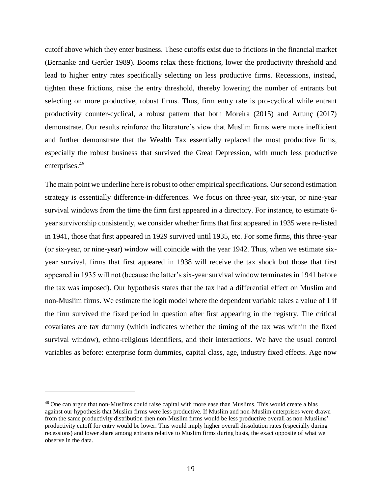cutoff above which they enter business. These cutoffs exist due to frictions in the financial market (Bernanke and Gertler 1989). Booms relax these frictions, lower the productivity threshold and lead to higher entry rates specifically selecting on less productive firms. Recessions, instead, tighten these frictions, raise the entry threshold, thereby lowering the number of entrants but selecting on more productive, robust firms. Thus, firm entry rate is pro-cyclical while entrant productivity counter-cyclical, a robust pattern that both Moreira (2015) and Artunç (2017) demonstrate. Our results reinforce the literature's view that Muslim firms were more inefficient and further demonstrate that the Wealth Tax essentially replaced the most productive firms, especially the robust business that survived the Great Depression, with much less productive enterprises.<sup>46</sup>

The main point we underline here is robust to other empirical specifications. Our second estimation strategy is essentially difference-in-differences. We focus on three-year, six-year, or nine-year survival windows from the time the firm first appeared in a directory. For instance, to estimate 6 year survivorship consistently, we consider whether firms that first appeared in 1935 were re-listed in 1941, those that first appeared in 1929 survived until 1935, etc. For some firms, this three-year (or six-year, or nine-year) window will coincide with the year 1942. Thus, when we estimate sixyear survival, firms that first appeared in 1938 will receive the tax shock but those that first appeared in 1935 will not (because the latter's six-year survival window terminates in 1941 before the tax was imposed). Our hypothesis states that the tax had a differential effect on Muslim and non-Muslim firms. We estimate the logit model where the dependent variable takes a value of 1 if the firm survived the fixed period in question after first appearing in the registry. The critical covariates are tax dummy (which indicates whether the timing of the tax was within the fixed survival window), ethno-religious identifiers, and their interactions. We have the usual control variables as before: enterprise form dummies, capital class, age, industry fixed effects. Age now

l

<sup>46</sup> One can argue that non-Muslims could raise capital with more ease than Muslims. This would create a bias against our hypothesis that Muslim firms were less productive. If Muslim and non-Muslim enterprises were drawn from the same productivity distribution then non-Muslim firms would be less productive overall as non-Muslims' productivity cutoff for entry would be lower. This would imply higher overall dissolution rates (especially during recessions) and lower share among entrants relative to Muslim firms during busts, the exact opposite of what we observe in the data.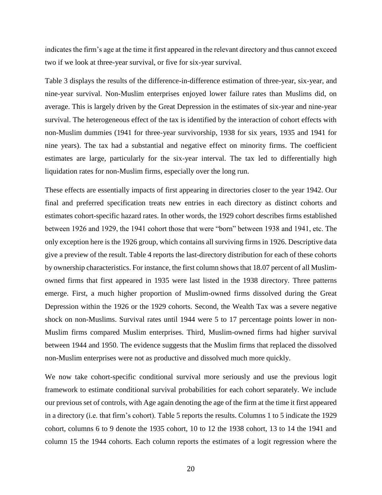indicates the firm's age at the time it first appeared in the relevant directory and thus cannot exceed two if we look at three-year survival, or five for six-year survival.

Table 3 displays the results of the difference-in-difference estimation of three-year, six-year, and nine-year survival. Non-Muslim enterprises enjoyed lower failure rates than Muslims did, on average. This is largely driven by the Great Depression in the estimates of six-year and nine-year survival. The heterogeneous effect of the tax is identified by the interaction of cohort effects with non-Muslim dummies (1941 for three-year survivorship, 1938 for six years, 1935 and 1941 for nine years). The tax had a substantial and negative effect on minority firms. The coefficient estimates are large, particularly for the six-year interval. The tax led to differentially high liquidation rates for non-Muslim firms, especially over the long run.

These effects are essentially impacts of first appearing in directories closer to the year 1942. Our final and preferred specification treats new entries in each directory as distinct cohorts and estimates cohort-specific hazard rates. In other words, the 1929 cohort describes firms established between 1926 and 1929, the 1941 cohort those that were "born" between 1938 and 1941, etc. The only exception here is the 1926 group, which contains all surviving firms in 1926. Descriptive data give a preview of the result. Table 4 reports the last-directory distribution for each of these cohorts by ownership characteristics. For instance, the first column shows that 18.07 percent of all Muslimowned firms that first appeared in 1935 were last listed in the 1938 directory. Three patterns emerge. First, a much higher proportion of Muslim-owned firms dissolved during the Great Depression within the 1926 or the 1929 cohorts. Second, the Wealth Tax was a severe negative shock on non-Muslims. Survival rates until 1944 were 5 to 17 percentage points lower in non-Muslim firms compared Muslim enterprises. Third, Muslim-owned firms had higher survival between 1944 and 1950. The evidence suggests that the Muslim firms that replaced the dissolved non-Muslim enterprises were not as productive and dissolved much more quickly.

We now take cohort-specific conditional survival more seriously and use the previous logit framework to estimate conditional survival probabilities for each cohort separately. We include our previous set of controls, with Age again denoting the age of the firm at the time it first appeared in a directory (i.e. that firm's cohort). Table 5 reports the results. Columns 1 to 5 indicate the 1929 cohort, columns 6 to 9 denote the 1935 cohort, 10 to 12 the 1938 cohort, 13 to 14 the 1941 and column 15 the 1944 cohorts. Each column reports the estimates of a logit regression where the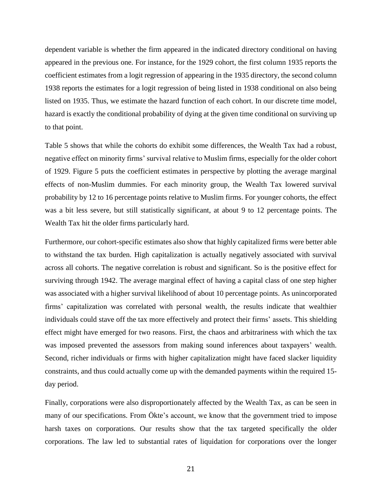dependent variable is whether the firm appeared in the indicated directory conditional on having appeared in the previous one. For instance, for the 1929 cohort, the first column 1935 reports the coefficient estimates from a logit regression of appearing in the 1935 directory, the second column 1938 reports the estimates for a logit regression of being listed in 1938 conditional on also being listed on 1935. Thus, we estimate the hazard function of each cohort. In our discrete time model, hazard is exactly the conditional probability of dying at the given time conditional on surviving up to that point.

Table 5 shows that while the cohorts do exhibit some differences, the Wealth Tax had a robust, negative effect on minority firms' survival relative to Muslim firms, especially for the older cohort of 1929. Figure 5 puts the coefficient estimates in perspective by plotting the average marginal effects of non-Muslim dummies. For each minority group, the Wealth Tax lowered survival probability by 12 to 16 percentage points relative to Muslim firms. For younger cohorts, the effect was a bit less severe, but still statistically significant, at about 9 to 12 percentage points. The Wealth Tax hit the older firms particularly hard.

Furthermore, our cohort-specific estimates also show that highly capitalized firms were better able to withstand the tax burden. High capitalization is actually negatively associated with survival across all cohorts. The negative correlation is robust and significant. So is the positive effect for surviving through 1942. The average marginal effect of having a capital class of one step higher was associated with a higher survival likelihood of about 10 percentage points. As unincorporated firms' capitalization was correlated with personal wealth, the results indicate that wealthier individuals could stave off the tax more effectively and protect their firms' assets. This shielding effect might have emerged for two reasons. First, the chaos and arbitrariness with which the tax was imposed prevented the assessors from making sound inferences about taxpayers' wealth. Second, richer individuals or firms with higher capitalization might have faced slacker liquidity constraints, and thus could actually come up with the demanded payments within the required 15 day period.

Finally, corporations were also disproportionately affected by the Wealth Tax, as can be seen in many of our specifications. From Ökte's account, we know that the government tried to impose harsh taxes on corporations. Our results show that the tax targeted specifically the older corporations. The law led to substantial rates of liquidation for corporations over the longer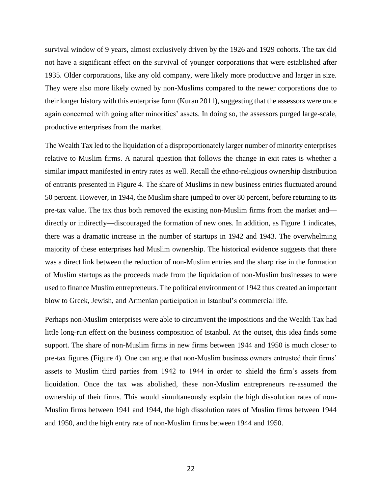survival window of 9 years, almost exclusively driven by the 1926 and 1929 cohorts. The tax did not have a significant effect on the survival of younger corporations that were established after 1935. Older corporations, like any old company, were likely more productive and larger in size. They were also more likely owned by non-Muslims compared to the newer corporations due to their longer history with this enterprise form (Kuran 2011), suggesting that the assessors were once again concerned with going after minorities' assets. In doing so, the assessors purged large-scale, productive enterprises from the market.

The Wealth Tax led to the liquidation of a disproportionately larger number of minority enterprises relative to Muslim firms. A natural question that follows the change in exit rates is whether a similar impact manifested in entry rates as well. Recall the ethno-religious ownership distribution of entrants presented in Figure 4. The share of Muslims in new business entries fluctuated around 50 percent. However, in 1944, the Muslim share jumped to over 80 percent, before returning to its pre-tax value. The tax thus both removed the existing non-Muslim firms from the market and directly or indirectly—discouraged the formation of new ones. In addition, as Figure 1 indicates, there was a dramatic increase in the number of startups in 1942 and 1943. The overwhelming majority of these enterprises had Muslim ownership. The historical evidence suggests that there was a direct link between the reduction of non-Muslim entries and the sharp rise in the formation of Muslim startups as the proceeds made from the liquidation of non-Muslim businesses to were used to finance Muslim entrepreneurs. The political environment of 1942 thus created an important blow to Greek, Jewish, and Armenian participation in Istanbul's commercial life.

Perhaps non-Muslim enterprises were able to circumvent the impositions and the Wealth Tax had little long-run effect on the business composition of Istanbul. At the outset, this idea finds some support. The share of non-Muslim firms in new firms between 1944 and 1950 is much closer to pre-tax figures (Figure 4). One can argue that non-Muslim business owners entrusted their firms' assets to Muslim third parties from 1942 to 1944 in order to shield the firm's assets from liquidation. Once the tax was abolished, these non-Muslim entrepreneurs re-assumed the ownership of their firms. This would simultaneously explain the high dissolution rates of non-Muslim firms between 1941 and 1944, the high dissolution rates of Muslim firms between 1944 and 1950, and the high entry rate of non-Muslim firms between 1944 and 1950.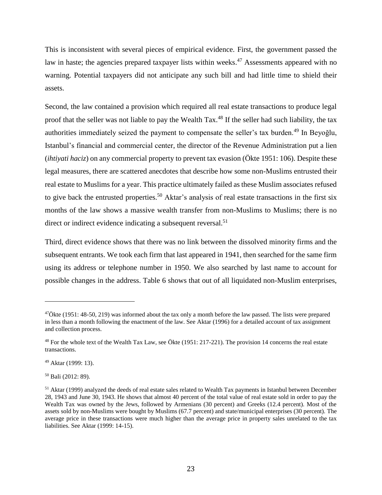This is inconsistent with several pieces of empirical evidence. First, the government passed the law in haste; the agencies prepared taxpayer lists within weeks.<sup>47</sup> Assessments appeared with no warning. Potential taxpayers did not anticipate any such bill and had little time to shield their assets.

Second, the law contained a provision which required all real estate transactions to produce legal proof that the seller was not liable to pay the Wealth Tax.<sup>48</sup> If the seller had such liability, the tax authorities immediately seized the payment to compensate the seller's tax burden.<sup>49</sup> In Beyoğlu, Istanbul's financial and commercial center, the director of the Revenue Administration put a lien (*ihtiyati haciz*) on any commercial property to prevent tax evasion (Ökte 1951: 106). Despite these legal measures, there are scattered anecdotes that describe how some non-Muslims entrusted their real estate to Muslims for a year. This practice ultimately failed as these Muslim associates refused to give back the entrusted properties. <sup>50</sup> Aktar's analysis of real estate transactions in the first six months of the law shows a massive wealth transfer from non-Muslims to Muslims; there is no direct or indirect evidence indicating a subsequent reversal.<sup>51</sup>

Third, direct evidence shows that there was no link between the dissolved minority firms and the subsequent entrants. We took each firm that last appeared in 1941, then searched for the same firm using its address or telephone number in 1950. We also searched by last name to account for possible changes in the address. Table 6 shows that out of all liquidated non-Muslim enterprises,

 $\overline{\phantom{a}}$ 

<sup>50</sup> Bali (2012: 89).

<sup>&</sup>lt;sup>47</sup>Ökte (1951: 48-50, 219) was informed about the tax only a month before the law passed. The lists were prepared in less than a month following the enactment of the law. See Aktar (1996) for a detailed account of tax assignment and collection process.

 $48$  For the whole text of the Wealth Tax Law, see Ökte (1951: 217-221). The provision 14 concerns the real estate transactions.

<sup>49</sup> Aktar (1999: 13).

<sup>51</sup> Aktar (1999) analyzed the deeds of real estate sales related to Wealth Tax payments in Istanbul between December 28, 1943 and June 30, 1943. He shows that almost 40 percent of the total value of real estate sold in order to pay the Wealth Tax was owned by the Jews, followed by Armenians (30 percent) and Greeks (12.4 percent). Most of the assets sold by non-Muslims were bought by Muslims (67.7 percent) and state/municipal enterprises (30 percent). The average price in these transactions were much higher than the average price in property sales unrelated to the tax liabilities. See Aktar (1999: 14-15).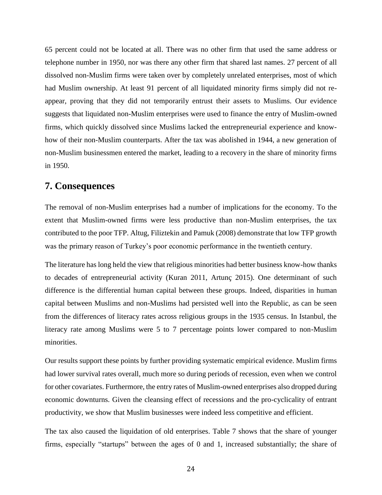65 percent could not be located at all. There was no other firm that used the same address or telephone number in 1950, nor was there any other firm that shared last names. 27 percent of all dissolved non-Muslim firms were taken over by completely unrelated enterprises, most of which had Muslim ownership. At least 91 percent of all liquidated minority firms simply did not reappear, proving that they did not temporarily entrust their assets to Muslims. Our evidence suggests that liquidated non-Muslim enterprises were used to finance the entry of Muslim-owned firms, which quickly dissolved since Muslims lacked the entrepreneurial experience and knowhow of their non-Muslim counterparts. After the tax was abolished in 1944, a new generation of non-Muslim businessmen entered the market, leading to a recovery in the share of minority firms in 1950.

#### **7. Consequences**

The removal of non-Muslim enterprises had a number of implications for the economy. To the extent that Muslim-owned firms were less productive than non-Muslim enterprises, the tax contributed to the poor TFP. Altug, Filiztekin and Pamuk (2008) demonstrate that low TFP growth was the primary reason of Turkey's poor economic performance in the twentieth century.

The literature has long held the view that religious minorities had better business know-how thanks to decades of entrepreneurial activity (Kuran 2011, Artunç 2015). One determinant of such difference is the differential human capital between these groups. Indeed, disparities in human capital between Muslims and non-Muslims had persisted well into the Republic, as can be seen from the differences of literacy rates across religious groups in the 1935 census. In Istanbul, the literacy rate among Muslims were 5 to 7 percentage points lower compared to non-Muslim minorities.

Our results support these points by further providing systematic empirical evidence. Muslim firms had lower survival rates overall, much more so during periods of recession, even when we control for other covariates. Furthermore, the entry rates of Muslim-owned enterprises also dropped during economic downturns. Given the cleansing effect of recessions and the pro-cyclicality of entrant productivity, we show that Muslim businesses were indeed less competitive and efficient.

The tax also caused the liquidation of old enterprises. Table 7 shows that the share of younger firms, especially "startups" between the ages of 0 and 1, increased substantially; the share of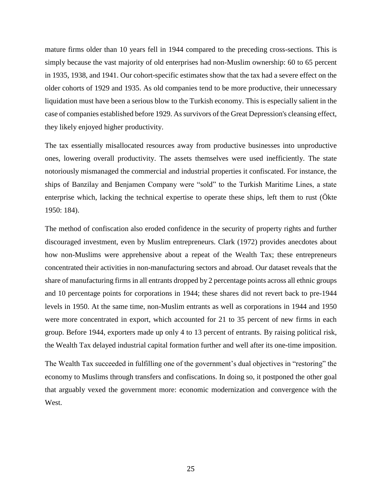mature firms older than 10 years fell in 1944 compared to the preceding cross-sections. This is simply because the vast majority of old enterprises had non-Muslim ownership: 60 to 65 percent in 1935, 1938, and 1941. Our cohort-specific estimates show that the tax had a severe effect on the older cohorts of 1929 and 1935. As old companies tend to be more productive, their unnecessary liquidation must have been a serious blow to the Turkish economy. This is especially salient in the case of companies established before 1929. As survivors of the Great Depression's cleansing effect, they likely enjoyed higher productivity.

The tax essentially misallocated resources away from productive businesses into unproductive ones, lowering overall productivity. The assets themselves were used inefficiently. The state notoriously mismanaged the commercial and industrial properties it confiscated. For instance, the ships of Banzilay and Benjamen Company were "sold" to the Turkish Maritime Lines, a state enterprise which, lacking the technical expertise to operate these ships, left them to rust (Ökte 1950: 184).

The method of confiscation also eroded confidence in the security of property rights and further discouraged investment, even by Muslim entrepreneurs. Clark (1972) provides anecdotes about how non-Muslims were apprehensive about a repeat of the Wealth Tax; these entrepreneurs concentrated their activities in non-manufacturing sectors and abroad. Our dataset reveals that the share of manufacturing firms in all entrants dropped by 2 percentage points across all ethnic groups and 10 percentage points for corporations in 1944; these shares did not revert back to pre-1944 levels in 1950. At the same time, non-Muslim entrants as well as corporations in 1944 and 1950 were more concentrated in export, which accounted for 21 to 35 percent of new firms in each group. Before 1944, exporters made up only 4 to 13 percent of entrants. By raising political risk, the Wealth Tax delayed industrial capital formation further and well after its one-time imposition.

The Wealth Tax succeeded in fulfilling one of the government's dual objectives in "restoring" the economy to Muslims through transfers and confiscations. In doing so, it postponed the other goal that arguably vexed the government more: economic modernization and convergence with the West.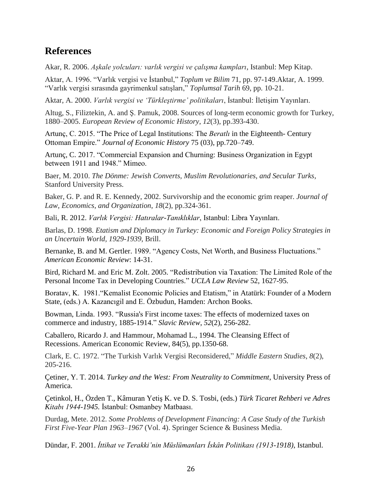## **References**

Akar, R. 2006. *Aşkale yolcuları: varlık vergisi ve çalışma kampları*, Istanbul: Mep Kitap.

Aktar, A. 1996. "Varlık vergisi ve İstanbul," *Toplum ve Bilim* 71, pp. 97-149.Aktar, A. 1999. "Varlık vergisi sırasında gayrimenkul satışları," *Toplumsal Tarih* 69, pp. 10-21.

Aktar, A. 2000. *Varlık vergisi ve 'Türkleştirme' politikaları*, İstanbul: İletişim Yayınları.

Altug, S., Filiztekin, A. and Ş. Pamuk, 2008. Sources of long-term economic growth for Turkey, 1880–2005. *European Review of Economic History*, *12*(3), pp.393-430.

Artunç, C. 2015. "The Price of Legal Institutions: The *Beratlı* in the Eighteenth- Century Ottoman Empire." *Journal of Economic History* 75 (03), pp.720–749.

Artunç, C. 2017. "Commercial Expansion and Churning: Business Organization in Egypt between 1911 and 1948." Mimeo.

Baer, M. 2010. *The Dönme: Jewish Converts, Muslim Revolutionaries, and Secular Turks,* Stanford University Press.

Baker, G. P. and R. E. Kennedy, 2002. Survivorship and the economic grim reaper. *Journal of Law, Economics, and Organization*, *18*(2), pp.324-361.

Bali, R. 2012. *Varlık Vergisi: Hatıralar-Tanıklıklar*, Istanbul: Libra Yayınları.

Barlas, D. 1998. *Etatism and Diplomacy in Turkey: Economic and Foreign Policy Strategies in an Uncertain World, 1929-1939*, Brill.

Bernanke, B. and M. Gertler. 1989. "Agency Costs, Net Worth, and Business Fluctuations." *American Economic Review*: 14-31.

Bird, Richard M. and Eric M. Zolt. 2005. "Redistribution via Taxation: The Limited Role of the Personal Income Tax in Developing Countries." *UCLA Law Review* 52, 1627-95.

Boratav, K. 1981."Kemalist Economic Policies and Etatism," in Atatürk: Founder of a Modern State, (eds.) A. Kazancıgil and E. Özbudun, Hamden: Archon Books.

Bowman, Linda. 1993. "Russia's First income taxes: The effects of modernized taxes on commerce and industry, 1885-1914." *Slavic Review*, *52*(2), 256-282.

Caballero, Ricardo J. and Hammour, Mohamad L., 1994. The Cleansing Effect of Recessions. American Economic Review, 84(5), pp.1350-68.

Clark, E. C. 1972. "The Turkish Varlık Vergisi Reconsidered," *Middle Eastern Studies*, *8*(2), 205-216.

Çetiner, Y. T. 2014. *Turkey and the West: From Neutrality to Commitment*, University Press of America.

Çetinkol, H., Özden T., Kâmuran Yetiş K. ve D. S. Tosbi, (eds.) *Türk Ticaret Rehberi ve Adres Kitabı 1944-1945.* İstanbul: Osmanbey Matbaası.

Durdag, Mete. 2012. *Some Problems of Development Financing: A Case Study of the Turkish First Five-Year Plan 1963–1967* (Vol. 4). Springer Science & Business Media.

Dündar, F. 2001. *İttihat ve Terakki'nin Müslümanları İskân Politikası (1913-1918)*, Istanbul.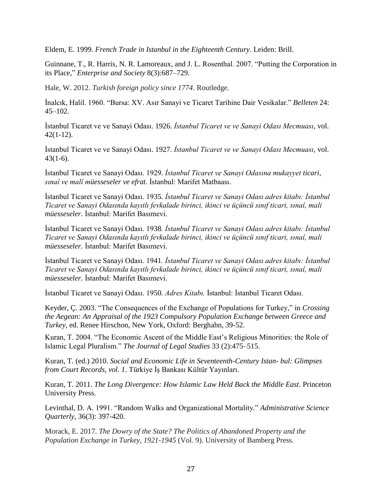Eldem, E. 1999. *French Trade in Istanbul in the Eighteenth Century*. Leiden: Brill.

Guinnane, T., R. Harris, N. R. Lamoreaux, and J. L. Rosenthal. 2007. "Putting the Corporation in its Place," *Enterprise and Society* 8(3):687–729.

Hale, W. 2012. *Turkish foreign policy since 1774*. Routledge.

İnalcık, Halil. 1960. "Bursa: XV. Asır Sanayi ve Ticaret Tarihine Dair Vesikalar." *Belleten* 24: 45–102.

İstanbul Ticaret ve ve Sanayi Odası. 1926. *İstanbul Ticaret ve ve Sanayi Odası Mecmuası*, vol. 42(1-12).

İstanbul Ticaret ve ve Sanayi Odası. 1927. *İstanbul Ticaret ve ve Sanayi Odası Mecmuası*, vol. 43(1-6).

İstanbul Ticaret ve Sanayi Odası. 1929*. İstanbul Ticaret ve Sanayi Odasına mukayyet ticari, sınaî ve malî müesseseler ve efrat.* İstanbul: Marifet Matbaası.

İstanbul Ticaret ve Sanayi Odası. 1935*. İstanbul Ticaret ve Sanayi Odası adres kitabı: İstanbul Ticaret ve Sanayi Odasında kayıtlı fevkalade birinci, ikinci ve üçüncü sınıf ticari, sınaî, mali müesseseler.* İstanbul: Marifet Basımevi.

İstanbul Ticaret ve Sanayi Odası. 1938*. İstanbul Ticaret ve Sanayi Odası adres kitabı: İstanbul Ticaret ve Sanayi Odasında kayıtlı fevkalade birinci, ikinci ve üçüncü sınıf ticari, sınaî, mali müesseseler.* İstanbul: Marifet Basımevi.

İstanbul Ticaret ve Sanayi Odası. 1941*. İstanbul Ticaret ve Sanayi Odası adres kitabı: İstanbul Ticaret ve Sanayi Odasında kayıtlı fevkalade birinci, ikinci ve üçüncü sınıf ticari, sınaî, mali müesseseler.* İstanbul: Marifet Basımevi.

İstanbul Ticaret ve Sanayi Odası. 1950*. Adres Kitabı.* İstanbul: İstanbul Ticaret Odası.

Keyder, Ç. 2003. "The Consequences of the Exchange of Populations for Turkey," in *Crossing the Aegean: An Appraisal of the 1923 Compulsory Population Exchange between Greece and Turkey*, ed. Renee Hirschon, New York, Oxford: Berghahn, 39-52.

Kuran, T. 2004. "The Economic Ascent of the Middle East's Religious Minorities: the Role of Islamic Legal Pluralism." *The Journal of Legal Studies* 33 (2):475–515.

Kuran, T. (ed.) 2010. *Social and Economic Life in Seventeenth-Century Istan- bul: Glimpses from Court Records, vol. 1*. Türkiye İş Bankası Kültür Yayınları.

Kuran, T. 2011. *The Long Divergence: How Islamic Law Held Back the Middle East*. Princeton University Press.

Levinthal, D. A. 1991. "Random Walks and Organizational Mortality." *Administrative Science Quarterly*, 36(3): 397-420.

Morack, E. 2017. *The Dowry of the State? The Politics of Abandoned Property and the Population Exchange in Turkey, 1921-1945* (Vol. 9). University of Bamberg Press.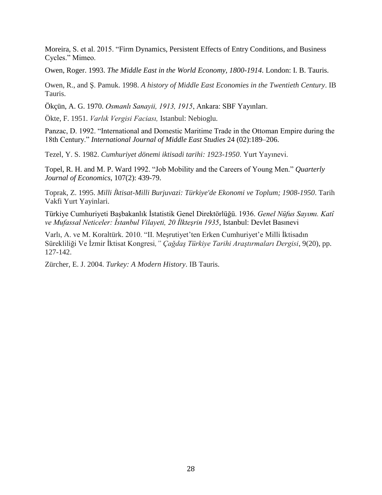Moreira, S. et al. 2015. "Firm Dynamics, Persistent Effects of Entry Conditions, and Business Cycles." Mimeo.

Owen, Roger. 1993. *The Middle East in the World Economy, 1800-1914*. London: I. B. Tauris.

Owen, R., and Ş. Pamuk. 1998. *A history of Middle East Economies in the Twentieth Century*. IB Tauris.

Ökçün, A. G. 1970. *Osmanlı Sanayii, 1913, 1915*, Ankara: SBF Yayınları.

Ökte, F. 1951. *Varlık Vergisi Faciası,* Istanbul: Nebioglu.

Panzac, D. 1992. "International and Domestic Maritime Trade in the Ottoman Empire during the 18th Century." *International Journal of Middle East Studies* 24 (02):189–206.

Tezel, Y. S. 1982. *Cumhuriyet dönemi iktisadi tarihi: 1923-1950*. Yurt Yayınevi.

Topel, R. H. and M. P. Ward 1992. "Job Mobility and the Careers of Young Men." *Quarterly Journal of Economics*, 107(2): 439-79.

Toprak, Z. 1995. *Milli İktisat-Milli Burjuvazi: Türkiye'de Ekonomi ve Toplum; 1908-1950*. Tarih Vakfi Yurt Yayinlari.

Türkiye Cumhuriyeti Başbakanlık İstatistik Genel Direktörlüğü. 1936. *Genel Nüfus Sayımı. Katî ve Mufassal Neticeler: İstanbul Vilayeti, 20 İlkteşrin 1935*, Istanbul: Devlet Basınevi

Varlı, A. ve M. Koraltürk. 2010. "II. Meşrutiyet'ten Erken Cumhuriyet'e Milli İktisadın Sürekliliği Ve İzmir İktisat Kongresi*," Çağdaş Türkiye Tarihi Araştırmaları Dergisi*, 9(20), pp. 127-142.

Zürcher, E. J. 2004. *Turkey: A Modern History*. IB Tauris.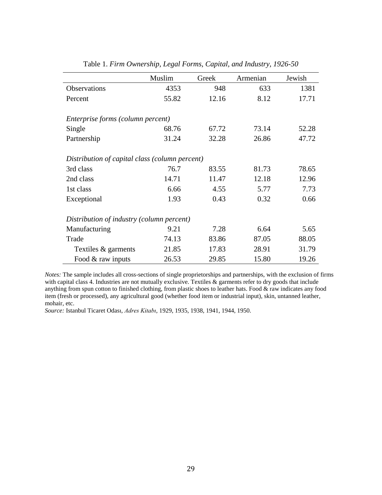|                                                | Muslim | Greek | Armenian | Jewish |
|------------------------------------------------|--------|-------|----------|--------|
| Observations                                   | 4353   | 948   | 633      | 1381   |
| Percent                                        | 55.82  | 12.16 | 8.12     | 17.71  |
|                                                |        |       |          |        |
| Enterprise forms (column percent)              |        |       |          |        |
| Single                                         | 68.76  | 67.72 | 73.14    | 52.28  |
| Partnership                                    | 31.24  | 32.28 | 26.86    | 47.72  |
|                                                |        |       |          |        |
| Distribution of capital class (column percent) |        |       |          |        |
| 3rd class                                      | 76.7   | 83.55 | 81.73    | 78.65  |
| 2nd class                                      | 14.71  | 11.47 | 12.18    | 12.96  |
| 1st class                                      | 6.66   | 4.55  | 5.77     | 7.73   |
| Exceptional                                    | 1.93   | 0.43  | 0.32     | 0.66   |
|                                                |        |       |          |        |
| Distribution of industry (column percent)      |        |       |          |        |
| Manufacturing                                  | 9.21   | 7.28  | 6.64     | 5.65   |
| Trade                                          | 74.13  | 83.86 | 87.05    | 88.05  |
| Textiles & garments                            | 21.85  | 17.83 | 28.91    | 31.79  |
| Food & raw inputs                              | 26.53  | 29.85 | 15.80    | 19.26  |

Table 1. *Firm Ownership, Legal Forms, Capital, and Industry, 1926-50*

*Notes:* The sample includes all cross-sections of single proprietorships and partnerships, with the exclusion of firms with capital class 4. Industries are not mutually exclusive. Textiles & garments refer to dry goods that include anything from spun cotton to finished clothing, from plastic shoes to leather hats. Food & raw indicates any food item (fresh or processed), any agricultural good (whether food item or industrial input), skin, untanned leather, mohair, etc.

*Source:* Istanbul Ticaret Odası, *Adres Kitabı*, 1929, 1935, 1938, 1941, 1944, 1950.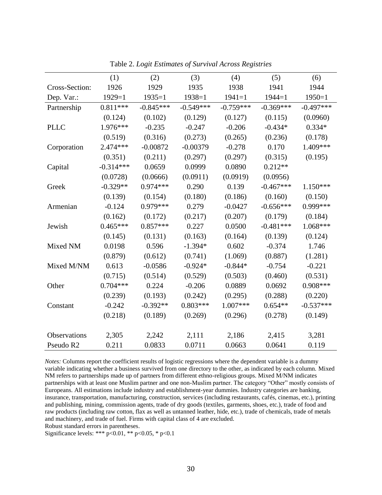|                | (1)         | (2)         | (3)         | (4)         | (5)         | (6)         |
|----------------|-------------|-------------|-------------|-------------|-------------|-------------|
| Cross-Section: | 1926        | 1929        | 1935        | 1938        | 1941        | 1944        |
| Dep. Var.:     | $1929=1$    | $1935=1$    | $1938=1$    | $1941 = 1$  | $1944 = 1$  | $1950=1$    |
| Partnership    | $0.811***$  | $-0.845***$ | $-0.549***$ | $-0.759***$ | $-0.369***$ | $-0.497***$ |
|                | (0.124)     | (0.102)     | (0.129)     | (0.127)     | (0.115)     | (0.0960)    |
| <b>PLLC</b>    | 1.976***    | $-0.235$    | $-0.247$    | $-0.206$    | $-0.434*$   | $0.334*$    |
|                | (0.519)     | (0.316)     | (0.273)     | (0.265)     | (0.236)     | (0.178)     |
| Corporation    | $2.474***$  | $-0.00872$  | $-0.00379$  | $-0.278$    | 0.170       | 1.409***    |
|                | (0.351)     | (0.211)     | (0.297)     | (0.297)     | (0.315)     | (0.195)     |
| Capital        | $-0.314***$ | 0.0659      | 0.0999      | 0.0890      | $0.212**$   |             |
|                | (0.0728)    | (0.0666)    | (0.0911)    | (0.0919)    | (0.0956)    |             |
| Greek          | $-0.329**$  | $0.974***$  | 0.290       | 0.139       | $-0.467***$ | $1.150***$  |
|                | (0.139)     | (0.154)     | (0.180)     | (0.186)     | (0.160)     | (0.150)     |
| Armenian       | $-0.124$    | $0.979***$  | 0.279       | $-0.0427$   | $-0.656***$ | 0.999***    |
|                | (0.162)     | (0.172)     | (0.217)     | (0.207)     | (0.179)     | (0.184)     |
| Jewish         | $0.465***$  | $0.857***$  | 0.227       | 0.0500      | $-0.481***$ | $1.068***$  |
|                | (0.145)     | (0.131)     | (0.163)     | (0.164)     | (0.139)     | (0.124)     |
| Mixed NM       | 0.0198      | 0.596       | $-1.394*$   | 0.602       | $-0.374$    | 1.746       |
|                | (0.879)     | (0.612)     | (0.741)     | (1.069)     | (0.887)     | (1.281)     |
| Mixed M/NM     | 0.613       | $-0.0586$   | $-0.924*$   | $-0.844*$   | $-0.754$    | $-0.221$    |
|                | (0.715)     | (0.514)     | (0.529)     | (0.503)     | (0.460)     | (0.531)     |
| Other          | $0.704***$  | 0.224       | $-0.206$    | 0.0889      | 0.0692      | $0.908***$  |
|                | (0.239)     | (0.193)     | (0.242)     | (0.295)     | (0.288)     | (0.220)     |
| Constant       | $-0.242$    | $-0.392**$  | $0.803***$  | $1.007***$  | $0.654**$   | $-0.537***$ |
|                | (0.218)     | (0.189)     | (0.269)     | (0.296)     | (0.278)     | (0.149)     |
| Observations   | 2,305       | 2,242       | 2,111       | 2,186       | 2,415       | 3,281       |
| Pseudo R2      | 0.211       | 0.0833      | 0.0711      | 0.0663      | 0.0641      | 0.119       |

Table 2. *Logit Estimates of Survival Across Registries*

*Notes:* Columns report the coefficient results of logistic regressions where the dependent variable is a dummy variable indicating whether a business survived from one directory to the other, as indicated by each column. Mixed NM refers to partnerships made up of partners from different ethno-religious groups. Mixed M/NM indicates partnerships with at least one Muslim partner and one non-Muslim partner. The category "Other" mostly consists of Europeans. All estimations include industry and establishment-year dummies. Industry categories are banking, insurance, transportation, manufacturing, construction, services (including restaurants, cafés, cinemas, etc.), printing and publishing, mining, commission agents, trade of dry goods (textiles, garments, shoes, etc.), trade of food and raw products (including raw cotton, flax as well as untanned leather, hide, etc.), trade of chemicals, trade of metals and machinery, and trade of fuel. Firms with capital class of 4 are excluded.

Robust standard errors in parentheses.

Significance levels: \*\*\*  $p<0.01$ , \*\*  $p<0.05$ , \*  $p<0.1$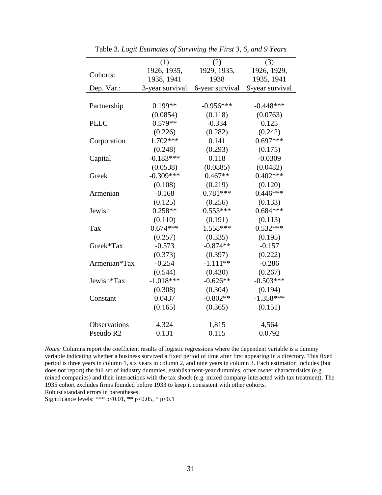|                       | (1)             | (2)             | (3)             |
|-----------------------|-----------------|-----------------|-----------------|
|                       | 1926, 1935,     | 1929, 1935,     | 1926, 1929,     |
| Cohorts:              | 1938, 1941      | 1938            | 1935, 1941      |
| Dep. Var.:            | 3-year survival | 6-year survival | 9-year survival |
|                       |                 |                 |                 |
| Partnership           | $0.199**$       | $-0.956***$     | $-0.448***$     |
|                       | (0.0854)        | (0.118)         | (0.0763)        |
| <b>PLLC</b>           | $0.579**$       | $-0.334$        | 0.125           |
|                       | (0.226)         | (0.282)         | (0.242)         |
| Corporation           | $1.702***$      | 0.141           | $0.697***$      |
|                       | (0.248)         | (0.293)         | (0.175)         |
| Capital               | $-0.183***$     | 0.118           | $-0.0309$       |
|                       | (0.0538)        | (0.0885)        | (0.0482)        |
| Greek                 | $-0.309***$     | $0.467**$       | $0.402***$      |
|                       | (0.108)         | (0.219)         | (0.120)         |
| Armenian              | $-0.168$        | $0.781***$      | $0.446***$      |
|                       | (0.125)         | (0.256)         | (0.133)         |
| Jewish                | $0.258**$       | $0.553***$      | $0.684***$      |
|                       | (0.110)         | (0.191)         | (0.113)         |
| Tax                   | $0.674***$      | 1.558***        | $0.532***$      |
|                       | (0.257)         | (0.335)         | (0.195)         |
| Greek*Tax             | $-0.573$        | $-0.874**$      | $-0.157$        |
|                       | (0.373)         | (0.397)         | (0.222)         |
| Armenian*Tax          | $-0.254$        | $-1.111**$      | $-0.286$        |
|                       | (0.544)         | (0.430)         | (0.267)         |
| Jewish*Tax            | $-1.018***$     | $-0.626**$      | $-0.503***$     |
|                       | (0.308)         | (0.304)         | (0.194)         |
| Constant              | 0.0437          | $-0.802**$      | $-1.358***$     |
|                       | (0.165)         | (0.365)         | (0.151)         |
|                       |                 |                 |                 |
| <b>Observations</b>   | 4,324           | 1,815           | 4,564           |
| Pseudo R <sub>2</sub> | 0.131           | 0.115           | 0.0792          |

Table 3. *Logit Estimates of Surviving the First 3, 6, and 9 Years*

*Notes:* Columns report the coefficient results of logistic regressions where the dependent variable is a dummy variable indicating whether a business survived a fixed period of time after first appearing in a directory. This fixed period is three years in column 1, six years in column 2, and nine years in column 3. Each estimation includes (but does not report) the full set of industry dummies, establishment-year dummies, other owner characteristics (e.g. mixed companies) and their interactions with the tax shock (e.g. mixed company interacted with tax treatment). The 1935 cohort excludes firms founded before 1933 to keep it consistent with other cohorts.

Robust standard errors in parentheses.

Significance levels: \*\*\*  $p<0.01$ , \*\*  $p<0.05$ , \*  $p<0.1$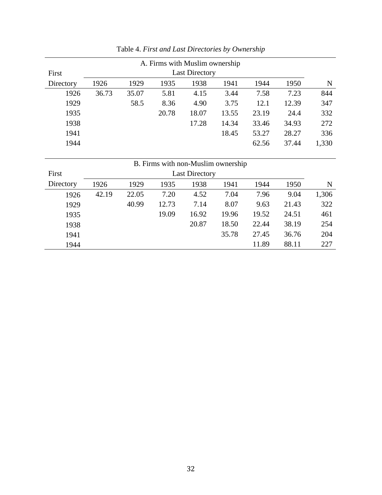| A. Firms with Muslim ownership |                                                      |       |                                    |       |       |       |       |       |  |  |  |  |
|--------------------------------|------------------------------------------------------|-------|------------------------------------|-------|-------|-------|-------|-------|--|--|--|--|
| First                          | <b>Last Directory</b>                                |       |                                    |       |       |       |       |       |  |  |  |  |
| Directory                      | 1929<br>1926<br>1935<br>1938<br>1941<br>1944<br>1950 |       |                                    |       |       |       |       |       |  |  |  |  |
| 1926                           | 36.73                                                | 35.07 | 5.81                               | 4.15  | 3.44  | 7.58  | 7.23  | 844   |  |  |  |  |
| 1929                           |                                                      | 58.5  | 8.36                               | 4.90  | 3.75  | 12.1  | 12.39 | 347   |  |  |  |  |
| 1935                           |                                                      |       | 20.78                              | 18.07 | 13.55 | 23.19 | 24.4  | 332   |  |  |  |  |
| 1938                           |                                                      |       |                                    | 17.28 | 14.34 | 33.46 | 34.93 | 272   |  |  |  |  |
| 1941                           |                                                      |       |                                    |       | 18.45 | 53.27 | 28.27 | 336   |  |  |  |  |
| 1944                           |                                                      |       |                                    |       |       | 62.56 | 37.44 | 1,330 |  |  |  |  |
|                                |                                                      |       |                                    |       |       |       |       |       |  |  |  |  |
|                                |                                                      |       | B. Firms with non-Muslim ownership |       |       |       |       |       |  |  |  |  |
| First                          | <b>Last Directory</b>                                |       |                                    |       |       |       |       |       |  |  |  |  |
| Directory                      | 1926                                                 | 1929  | 1935                               | 1938  | 1941  | 1944  | 1950  | N     |  |  |  |  |
| 1926                           | 42.19                                                | 22.05 | 7.20                               | 4.52  | 7.04  | 7.96  | 9.04  | 1,306 |  |  |  |  |
| 1929                           |                                                      | 40.99 | 12.73                              | 7.14  | 8.07  | 9.63  | 21.43 | 322   |  |  |  |  |

 19.09 16.92 19.96 19.52 24.51 461 20.87 18.50 22.44 38.19 254 35.78 27.45 36.76 204 11.89 88.11 227

Table 4. *First and Last Directories by Ownership*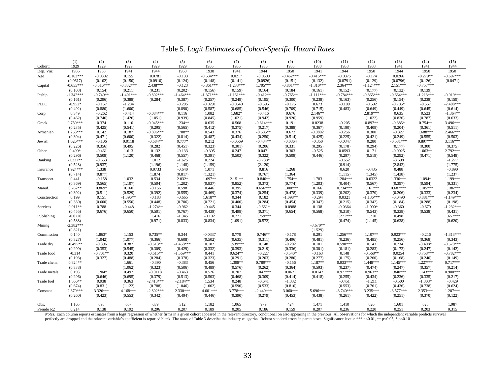|                       | (1)<br>1929           | (2)                   | (3)              | (4)                    | (5)                   | (6)              | (7)                   | (8)                    | (9)                   | (10)                 | (11)                   | (12)                  | (13)                   | (14)                  | (15)                  |
|-----------------------|-----------------------|-----------------------|------------------|------------------------|-----------------------|------------------|-----------------------|------------------------|-----------------------|----------------------|------------------------|-----------------------|------------------------|-----------------------|-----------------------|
| Cohort:<br>Dep. Var.: | 1935                  | 1929<br>1938          | 1929<br>1941     | 1929<br>1944           | 1929<br>1950          | 1935<br>1938     | 1935<br>1941          | 1935<br>1944           | 1935<br>1950          | 1938<br>1941         | 1938<br>1944           | 1938<br>1950          | 1941<br>1944           | 1941<br>1950          | 1944<br>1950          |
| Age                   | $-0.162***$           | $-0.0302$             | 0.155            | 0.0781                 | $-0.133$              | $-0.534***$      | 0.0217                | $-0.0500$              | $-0.462***$           | $-0.415***$          | $-0.0375$              | $-0.174$              | 0.0266                 | $-0.279**$            | $-0.697***$           |
|                       | (0.0617)              | (0.102)               | (0.150)          | (0.0910)               | (0.124)               | (0.148)          | (0.141)               | (0.0926)               | (0.151)               | (0.132)              | (0.0791)               | (0.129)               | (0.0796)               | (0.126)               | (0.0471)              |
| Capital               | $-0.655***$           | $-0.516***$           | $-0.832***$      | $2.438***$             | $-0.123$              | $-0.861***$      | $-1.233***$           | $1.705***$             | $-0.801***$           | $-1.310***$          | $2.364***$             | $-1.124***$           | $2.151***$             | $-0.757***$           |                       |
|                       | (0.103)               | (0.154)               | (0.211)          | (0.231)                | (0.202)               | (0.156)          | (0.159)               | (0.164)                | (0.184)               | (0.161)              | (0.152)                | (0.177)               | (0.132)                | (0.139)               |                       |
| Ptship                | $-1.342***$           | $-0.749**$            | $-1.401***$      | $-0.802***$            | $-1.464***$           | $-1.371***$      | $-1.161***$           | $-0.412**$             | $-0.765**$            | $-1.111***$          | $-0.784***$            | $-0.865***$           | $-0.664***$            | $-1.213***$           | $-0.919***$           |
|                       | (0.161)               | (0.296)               | (0.388)          | (0.284)                | (0.387)               | (0.257)          | (0.249)               | (0.195)                | (0.300)               | (0.238)              | (0.163)                | (0.256)               | (0.154)                | (0.238)               | (0.159)               |
| <b>PLLC</b>           | $-0.952*$             | $-0.157$              | $-1.284$         |                        | $-0.295$              | $-0.0291$        | $-0.0540$             | $-0.596$               | $-0.175$              | 0.673                | $-0.199$               | $-0.592$              | $-0.785*$              | $-0.557$              | $-2.408***$           |
|                       | (0.492)               | (0.880)               | (1.600)          |                        | (0.890)               | (0.587)          | (0.685)               | (0.546)                | (0.709)               | (0.715)              | (0.483)                | (0.649)               | (0.449)                | (0.645)               | (0.614)               |
| Corp.                 | 0.349                 | $-0.262$              | $-0.414$         | $-6.084***$            | 0.116                 | 1.082            | $1.682*$              | $-0.416$               | 0.676                 | 2.146**              |                        | $2.819***$            | 0.635                  | 0.523                 | $-1.364**$            |
|                       | (0.462)               | (0.746)               | (1.426)          | (1.051)                | (0.939)               | (0.845)          | (1.021)               | (0.942)                | (0.920)               | (0.959)              |                        | (1.022)               | (0.836)                | (0.787)               | (0.633)               |
| Greek                 | $0.750***$            | 0.374                 | 0.110            | $-0.945***$            | 1.234**               | 0.635            | 0.568                 | $-0.614***$            | 0.191                 | 0.0238               | $-0.205$               | $0.897**$             | $-0.385*$              | $0.754**$             | 3.496***              |
| Armenian              | (0.235)<br>$1.253***$ | (0.425)<br>0.142      | (0.541)<br>0.187 | (0.295)<br>$-0.896***$ | (0.565)<br>1.788**    | (0.412)<br>0.543 | (0.375)<br>0.376      | (0.217)<br>$-0.585**$  | (0.388)<br>0.672      | (0.367)<br>$-0.0802$ | (0.190)<br>$-0.256$    | (0.408)<br>0.300      | (0.204)<br>$-0.327$    | (0.361)<br>$1.688***$ | (0.511)<br>$2.466***$ |
|                       | (0.304)               | (0.471)               | (0.600)          | (0.322)                | (0.814)               | (0.487)          | (0.434)               | (0.250)                | (0.514)               | (0.425)              | (0.225)                | (0.421)               | (0.249)                | (0.555)               | (0.503)               |
| Jewish                | $1.026***$            | $-0.106$              | 0.0118           | $-0.684**$             | $0.777*$              | 0.212            | $-0.0569$             | $-0.434**$             | $-0.0364$             | $-0.350$             | $-0.0347$              | 0.280                 | $-0.531***$            | $0.897***$            | $3.116***$            |
|                       | (0.226)               | (0.356)               | (0.495)          | (0.282)                | (0.451)               | (0.323)          | (0.301)               | (0.206)                | (0.331)               | (0.295)              | (0.178)                | (0.294)               | (0.177)                | (0.300)               | (0.375)               |
| Other                 | $0.490*$              | $-0.461$              | 1.613            | 0.132                  | $-0.133$              | $-0.395$         | 0.247                 | 0.0471                 | 0.303                 | $-0.525$             | 0.0593                 | 0.171                 | $-0.0925$              | $1.063**$             | 2.792***              |
|                       | (0.296)               | (0.508)               | (1.120)          | (0.468)                | (0.557)               | (0.391)          | (0.503)               | (0.322)                | (0.508)               | (0.446)              | (0.297)                | (0.519)               | (0.292)                | (0.471)               | (0.548)               |
| <b>Banking</b>        | $-1.237**$            | $-0.653$              |                  | 1.012                  | $-1.625$              | 0.224            |                       | $-3.738*$              |                       |                      | $-0.652$               |                       | $-3.698$               |                       | $-1.277$              |
|                       | (0.528)               | (0.937)               |                  | (1.196)                | (1.148)               | (1.159)          |                       | (2.120)                |                       |                      | (0.914)                |                       | (2.842)                |                       | (1.775)               |
| Insurance             | $1.924***$            | 1.338                 |                  | 0.0733                 | $-0.640$              | 1.071            |                       | 0.816                  | 1.268                 |                      | 0.620                  | $-0.435$              | 0.488                  |                       | $-0.890$              |
|                       | (0.714)               | (0.877)               |                  | (1.874)                | (0.817)               | (1.321)          |                       | (0.767)                | (1.364)               |                      | (1.115)                | (1.345)               | (1.438)                |                       | (1.237)               |
| Transport.            | 0.441<br>(0.369)      | $-0.158$              | 1.032            | 0.534                  | $2.032*$              | 1.697**          | $2.151**$<br>(0.852)  | $0.840**$              | 1.754**               | 1.783                | 1.284***               | 0.0322                | $1.330***$             | $1.094*$<br>(0.594)   | 1.199***              |
| Manuf.                | $0.762**$             | (0.565)<br>$0.869*$   | (1.107)<br>0.160 | (0.504)<br>$-0.156$    | (1.202)<br>0.598      | (0.837)<br>0.446 | 0.395                 | (0.373)<br>$0.656***$  | (0.774)<br>$1.300***$ | (1.203)<br>0.166     | (0.404)<br>$0.734***$  | (0.567)<br>$1.161***$ | (0.397)<br>$0.687***$  | $1.105***$            | (0.331)<br>$1.186***$ |
|                       | (0.302)               | (0.511)               | (0.529)          | (0.392)                | (0.555)               | (0.469)          | (0.374)               | (0.254)                | (0.478)               | (0.339)              | (0.202)                | (0.370)               | (0.206)                | (0.333)               | (0.234)               |
| Construction          | 0.199                 | 0.151                 | $-1.396**$       | $-0.183$               | $-0.665$              | $1.618**$        | 0.344                 | 0.182                  | $-1.098**$            | $-0.294$             | 0.0321                 | $-1.136***$           | $-0.0490$              | $-0.881***$           | $-1.149***$           |
|                       | (0.330)               | (0.600)               | (0.550)          | (0.448)                | (0.706)               | (0.721)          | (0.400)               | (0.284)                | (0.454)               | (0.347)              | (0.215)                | (0.342)               | (0.184)                | (0.288)               | (0.198)               |
| Services              | $0.911**$             | 0.788                 | $-0.448$         | $-1.274**$             | $-0.962$              | $-0.445$         | 0.344                 | $-0.661*$              | 0.0988                | 0.138                | $-0.0364$              | $-1.000*$             | $-0.360$               | $-0.670$              | $-1.232***$           |
|                       | (0.455)               | (0.676)               | (0.650)          | (0.501)                | (0.767)               | (0.439)          | (0.498)               | (0.371)                | (0.654)               | (0.568)              | (0.310)                | (0.543)               | (0.338)                | (0.538)               | (0.431)               |
| Publishing            | $-0.0720$             |                       |                  | 1.416                  | $-1.345$              | $-0.102$         | 0.771                 | $1.759***$             |                       |                      | $1.271***$             | 1.710                 | 0.498                  |                       | $1.657***$            |
|                       | (0.588)               |                       |                  | (0.971)                | (0.833)               | (0.834)          | (1.091)               | (0.572)                |                       |                      | (0.474)                | (1.145)               | (0.638)                |                       | (0.620)               |
| Mining                | $-2.382***$           |                       |                  |                        |                       |                  |                       |                        |                       | $-3.670**$           |                        |                       |                        |                       |                       |
|                       | (0.821)               |                       |                  | $0.735**$              |                       | $-0.0337$        | 0.779                 | $0.746**$              |                       | (1.529)              | $1.256***$             | $1.107**$             | $0.923***$             |                       | $-1.313***$           |
| Commission            | 0.140<br>(0.327)      | 1.863*<br>(1.042)     | 1.153<br>(1.077) | (0.366)                | 0.344<br>(0.608)      | (0.502)          | (0.635)               | (0.311)                | $-0.178$<br>(0.496)   | 0.291<br>(0.481)     | (0.236)                | (0.485)               | (0.256)                | $-0.216$<br>(0.368)   | (0.343)               |
| Trade dry             | $-0.495**$            | $-0.396$              | 0.382            | $-0.613**$             | $-1.458***$           | 0.182            | $1.539***$            | 0.148                  | $-0.202$              | 0.101                | $0.590***$             | 0.143                 | 0.234                  | $-0.408*$             | $-0.579***$           |
|                       | (0.209)               | (0.353)               | (0.545)          | (0.309)                | (0.429)               | (0.332)          | (0.393)               | (0.219)                | (0.336)               | (0.301)              | (0.181)                | (0.283)               | (0.172)                | (0.247)               | (0.142)               |
| Trade food            | $-0.314$              | $-0.701**$            | 0.320            | $-0.615**$             | $-1.569***$           | 0.441            | $0.624**$             | $-0.227$               | $-0.540*$             | $-0.163$             | 0.148                  | $-0.568**$            | 0.0254                 | $-0.758***$           | $-0.782***$           |
|                       | (0.193)               | (0.327)               | (0.488)          | (0.284)                | (0.378)               | (0.323)          | (0.291)               | (0.203)                | (0.280)               | (0.277)              | (0.175)                | (0.260)               | (0.168)                | (0.240)               | (0.149)               |
| Trade chem.           | $0.824**$             |                       | 1.661            | $-0.390$               | $-0.383$              | 0.456            | 1.398**               | $0.789***$             | $-0.156$              | 1.187**              | $0.933***$             | $1.448***$            | $1.145***$             | $1.227***$            | $0.717***$            |
|                       | (0.338)               |                       | (1.062)          | (0.323)                | (0.506)               | (0.489)          | (0.576)               | (0.262)                | (0.364)               | (0.593)              | (0.237)                | (0.474)               | (0.247)                | (0.357)               | (0.214)               |
| Trade metals          | 0.193                 | $1.204*$              | 0.492            | $-0.0118$              | $-0.463$              | 0.526            | 0.707                 | $1.047***$             | 0.0671                | 0.0147               | 0.977***               | $0.963**$             | $1.840***$             | $1.143***$            | $0.900***$            |
|                       | (0.296)               | (0.646)               | (0.695)          | (0.379)                | (0.513)               | (0.503)          | (0.468)               | (0.309)                | (0.414)               | (0.418)              | (0.255)                | (0.434)               | (0.236)                | (0.335)               | (0.217)               |
| Trade fuel            | $1.566**$             | 0.938                 | 0.363            | $-2.413***$            | $-2.184**$            | 1.534            | 0.248                 | $-0.641$               | $-1.332$              |                      | $-0.451$               | $-1.211$              | $-0.500$               | $-1.303*$             | $-0.429$              |
|                       | (0.674)<br>$2.370***$ | (0.831)               | (1.122)          | (0.788)<br>$-2.802***$ | (1.046)<br>$2.330***$ | (1.062)          | (0.590)<br>$3.778***$ | (0.533)<br>$-2.449***$ | (0.810)<br>$3.060***$ | $5.696***$           | (0.553)<br>$-3.740***$ | (0.761)<br>$3.235***$ | (0.436)<br>$-3.577***$ | (0.738)<br>$2.353***$ | (0.624)<br>$1.207***$ |
| Constant              | (0.260)               | $3.326***$<br>(0.423) | $4.168***$       | (0.342)                | (0.494)               | 4.601***         | (0.390)               |                        |                       |                      |                        |                       |                        |                       |                       |
|                       |                       |                       | (0.553)          |                        |                       | (0.446)          |                       | (0.279)                | (0.453)               | (0.438)              | (0.261)                | (0.422)               | (0.251)                | (0.370)               | (0.122)               |
| Obs.                  | 1,165                 | 698                   | 667              | 639                    | 312                   | 1,182            | 1,065                 | 979                    | 424                   | 1,471                | 1,410                  | 620                   | 1,601                  | 628                   | 1,987                 |
| Pseudo R2             | 0.214                 | 0.138                 | 0.192            | 0.296                  | 0.207                 | 0.189            | 0.205                 | 0.186                  | 0.159                 | 0.207                | 0.236                  | 0.220                 | 0.251                  | 0.203                 | 0.315                 |
|                       |                       |                       |                  |                        |                       |                  |                       |                        |                       |                      |                        |                       |                        |                       |                       |

Table 5. *Logit Estimates of Cohort-Specific Hazard Rates*

Notes: Each column reports estimates from a logit regression of whether firms in a given cohort appeared in the relevant directory, conditional on also appearing in the previous. All observations for which the independent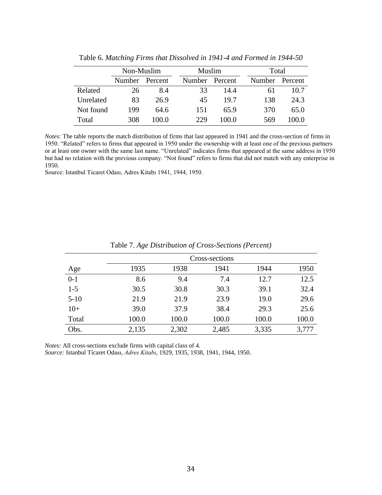|           | Non-Muslim |         |  | Muslim |         | Total |        |         |
|-----------|------------|---------|--|--------|---------|-------|--------|---------|
|           | Number     | Percent |  | Number | Percent |       | Number | Percent |
| Related   | 26         | 8.4     |  | 33     | 14.4    |       | 6 I    | 10.7    |
| Unrelated | 83         | 26.9    |  | 45     | 19.7    |       | 138    | 24.3    |
| Not found | 199        | 64.6    |  | 151    | 65.9    |       | 370    | 65.0    |
| Total     | 308        | 100.0   |  | 229    | 100.0   |       | 569    | 100 0   |

Table 6. *Matching Firms that Dissolved in 1941-4 and Formed in 1944-50*

*Notes:* The table reports the match distribution of firms that last appeared in 1941 and the cross-section of firms in 1950. "Related" refers to firms that appeared in 1950 under the ownership with at least one of the previous partners or at least one owner with the same last name. "Unrelated" indicates firms that appeared at the same address in 1950 but had no relation with the previous company. "Not found" refers to firms that did not match with any enterprise in 1950.

Source: Istanbul Ticaret Odası, Adres Kitabı 1941, 1944, 1950.

|          | Cross-sections |       |       |       |       |  |  |  |  |  |  |  |
|----------|----------------|-------|-------|-------|-------|--|--|--|--|--|--|--|
| Age      | 1935           | 1938  | 1941  | 1944  | 1950  |  |  |  |  |  |  |  |
| $0 - 1$  | 8.6            | 9.4   | 7.4   | 12.7  | 12.5  |  |  |  |  |  |  |  |
| $1 - 5$  | 30.5           | 30.8  | 30.3  | 39.1  | 32.4  |  |  |  |  |  |  |  |
| $5 - 10$ | 21.9           | 21.9  | 23.9  | 19.0  | 29.6  |  |  |  |  |  |  |  |
| $10+$    | 39.0           | 37.9  | 38.4  | 29.3  | 25.6  |  |  |  |  |  |  |  |
| Total    | 100.0          | 100.0 | 100.0 | 100.0 | 100.0 |  |  |  |  |  |  |  |
| Obs.     | 2,135          | 2,302 | 2,485 | 3,335 | 3,777 |  |  |  |  |  |  |  |

Table 7. *Age Distribution of Cross-Sections (Percent)*

*Notes:* All cross-sections exclude firms with capital class of 4.

*Source:* Istanbul Ticaret Odası, *Adres Kitabı*, 1929, 1935, 1938, 1941, 1944, 1950.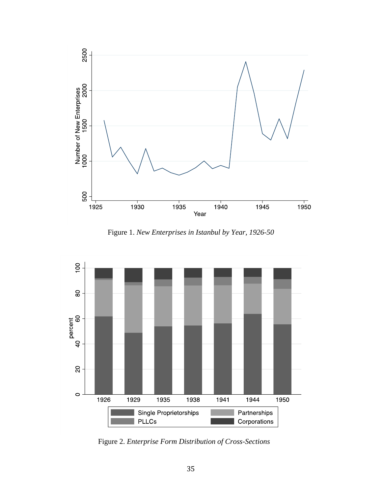

Figure 1. *New Enterprises in Istanbul by Year, 1926-50*



*Figure 2: Distribution of cross* Figure 2. *Enterprise -Form Distribution of Cross sections by enterprise forms, 1926 -Sections-1950*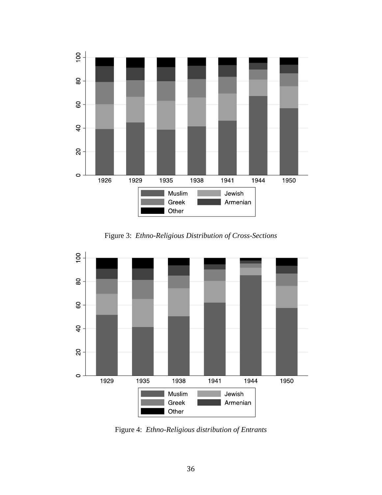

Figure 3: *Ethno-Religious Distribution of Cross-Sections*



Figure 4: *Ethno-Religious distribution of Entrants*